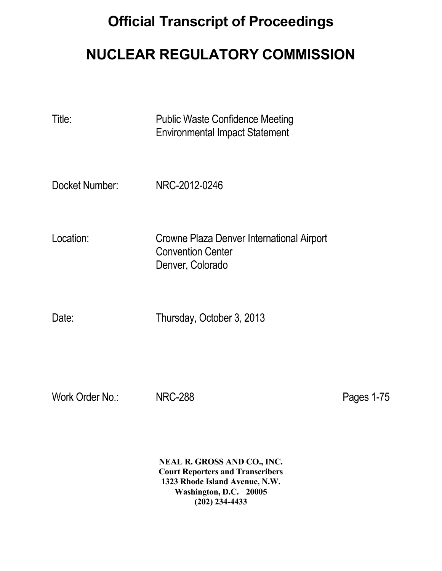## **Official Transcript of Proceedings**

## **NUCLEAR REGULATORY COMMISSION**

| Title:         | <b>Public Waste Confidence Meeting</b><br><b>Environmental Impact Statement</b>           |
|----------------|-------------------------------------------------------------------------------------------|
| Docket Number: | NRC-2012-0246                                                                             |
| Location:      | Crowne Plaza Denver International Airport<br><b>Convention Center</b><br>Denver, Colorado |
| Date:          | Thursday, October 3, 2013                                                                 |

Work Order No.: NRC-288 Pages 1-75

 **NEAL R. GROSS AND CO., INC. Court Reporters and Transcribers 1323 Rhode Island Avenue, N.W. Washington, D.C. 20005 (202) 234-4433**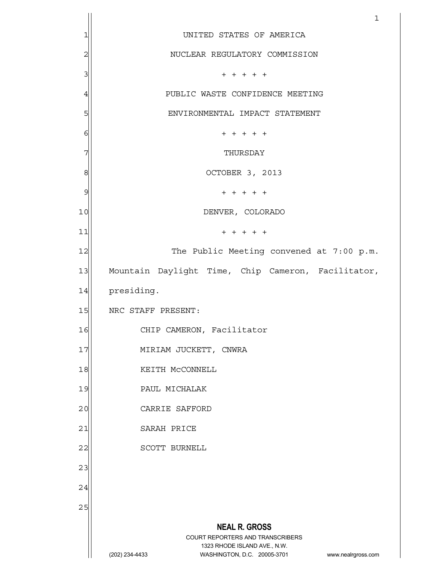| UNITED STATES OF AMERICA                                                                                                                                        |
|-----------------------------------------------------------------------------------------------------------------------------------------------------------------|
|                                                                                                                                                                 |
| NUCLEAR REGULATORY COMMISSION                                                                                                                                   |
| $+ + + + + +$                                                                                                                                                   |
| PUBLIC WASTE CONFIDENCE MEETING                                                                                                                                 |
| ENVIRONMENTAL IMPACT STATEMENT                                                                                                                                  |
| $+ + + + + +$                                                                                                                                                   |
| THURSDAY                                                                                                                                                        |
| OCTOBER 3, 2013                                                                                                                                                 |
| $+ + + + + +$                                                                                                                                                   |
| DENVER, COLORADO                                                                                                                                                |
| $+ + + + +$                                                                                                                                                     |
| The Public Meeting convened at 7:00 p.m.                                                                                                                        |
| Mountain Daylight Time, Chip Cameron, Facilitator,                                                                                                              |
| presiding.                                                                                                                                                      |
| NRC STAFF PRESENT:                                                                                                                                              |
| CHIP CAMERON, Facilitator                                                                                                                                       |
| MIRIAM JUCKETT, CNWRA                                                                                                                                           |
| KEITH MCCONNELL                                                                                                                                                 |
| PAUL MICHALAK                                                                                                                                                   |
| CARRIE SAFFORD                                                                                                                                                  |
| SARAH PRICE                                                                                                                                                     |
| SCOTT BURNELL                                                                                                                                                   |
|                                                                                                                                                                 |
|                                                                                                                                                                 |
|                                                                                                                                                                 |
| <b>NEAL R. GROSS</b><br>COURT REPORTERS AND TRANSCRIBERS<br>1323 RHODE ISLAND AVE., N.W.<br>(202) 234-4433<br>WASHINGTON, D.C. 20005-3701<br>www.nealrgross.com |
|                                                                                                                                                                 |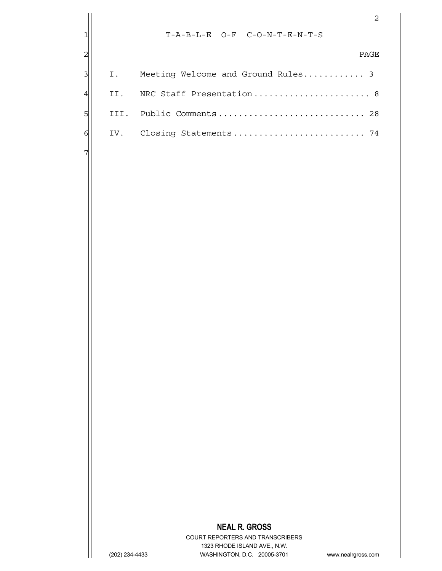|                |                |                                                                                   | $\mathbf{2}$ |
|----------------|----------------|-----------------------------------------------------------------------------------|--------------|
| $\mathbf{1}$   |                | $T - A - B - L - E$ O-F C-O-N-T-E-N-T-S                                           |              |
| $\overline{c}$ |                |                                                                                   | PAGE         |
| 3              | Ι.             | Meeting Welcome and Ground Rules 3                                                |              |
| $\overline{4}$ | II.            | NRC Staff Presentation 8                                                          |              |
| 5              | III.           | Public Comments 28                                                                |              |
|                |                |                                                                                   |              |
| 6              | IV.            |                                                                                   |              |
| 7              |                |                                                                                   |              |
|                |                |                                                                                   |              |
|                |                |                                                                                   |              |
|                |                |                                                                                   |              |
|                |                |                                                                                   |              |
|                |                |                                                                                   |              |
|                |                |                                                                                   |              |
|                |                |                                                                                   |              |
|                |                |                                                                                   |              |
|                |                |                                                                                   |              |
|                |                |                                                                                   |              |
|                |                |                                                                                   |              |
|                |                |                                                                                   |              |
|                |                |                                                                                   |              |
|                |                |                                                                                   |              |
|                |                |                                                                                   |              |
|                |                |                                                                                   |              |
|                |                |                                                                                   |              |
|                |                |                                                                                   |              |
|                |                |                                                                                   |              |
|                |                |                                                                                   |              |
|                |                |                                                                                   |              |
|                |                | <b>NEAL R. GROSS</b><br>COURT REPORTERS AND TRANSCRIBERS                          |              |
|                | (202) 234-4433 | 1323 RHODE ISLAND AVE., N.W.<br>WASHINGTON, D.C. 20005-3701<br>www.nealrgross.com |              |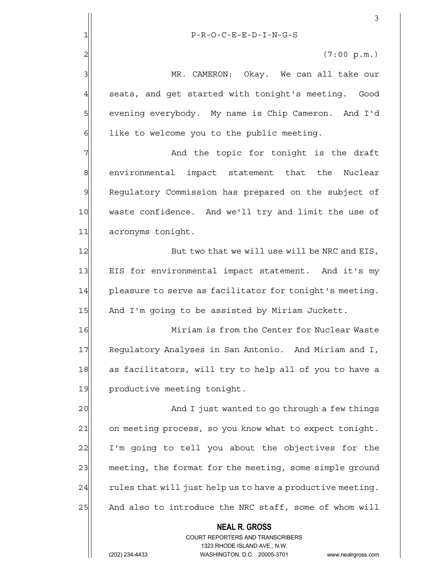|                | 3                                                                                                   |
|----------------|-----------------------------------------------------------------------------------------------------|
| 1              | $P-R-O-C-E-E-D-I-N-G-S$                                                                             |
| $\overline{2}$ | (7:00 p.m.)                                                                                         |
| 3              | MR. CAMERON: Okay. We can all take our                                                              |
| $\overline{4}$ | seats, and get started with tonight's meeting. Good                                                 |
| 5              | evening everybody. My name is Chip Cameron. And I'd                                                 |
| 6              | like to welcome you to the public meeting.                                                          |
| 7              | And the topic for tonight is the draft                                                              |
| 8              | environmental impact statement that the Nuclear                                                     |
| 9              | Regulatory Commission has prepared on the subject of                                                |
| 10             | waste confidence. And we'll try and limit the use of                                                |
| 11             | acronyms tonight.                                                                                   |
| 12             | But two that we will use will be NRC and EIS,                                                       |
| 13             | EIS for environmental impact statement. And it's my                                                 |
| 14             | pleasure to serve as facilitator for tonight's meeting.                                             |
| 15             | And I'm going to be assisted by Miriam Juckett.                                                     |
| 16             | Miriam is from the Center for Nuclear Waste                                                         |
| 17             | Regulatory Analyses in San Antonio. And Miriam and I,                                               |
| 18             | as facilitators, will try to help all of you to have a                                              |
| 19             | productive meeting tonight.                                                                         |
| 20             | And I just wanted to go through a few things                                                        |
| 21             | on meeting process, so you know what to expect tonight.                                             |
| 22             | I'm going to tell you about the objectives for the                                                  |
| 23             | meeting, the format for the meeting, some simple ground                                             |
| 24             | rules that will just help us to have a productive meeting.                                          |
| 25             | And also to introduce the NRC staff, some of whom will                                              |
|                | <b>NEAL R. GROSS</b>                                                                                |
|                | <b>COURT REPORTERS AND TRANSCRIBERS</b>                                                             |
|                | 1323 RHODE ISLAND AVE., N.W.<br>(202) 234-4433<br>WASHINGTON, D.C. 20005-3701<br>www.nealrgross.com |
|                |                                                                                                     |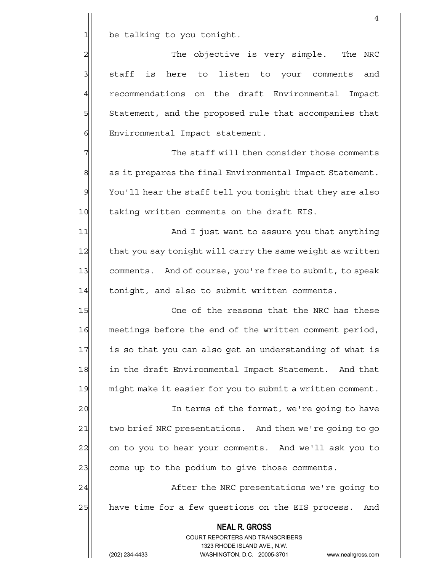$1$  be talking to you tonight.

2 || The objective is very simple. The NRC 3 staff is here to listen to your comments and 4 recommendations on the draft Environmental Impact 5 Statement, and the proposed rule that accompanies that 6 Environmental Impact statement.

7 The staff will then consider those comments  $8$  as it prepares the final Environmental Impact Statement. 9 You'll hear the staff tell you tonight that they are also 10 taking written comments on the draft EIS.

11 and I just want to assure you that anything 12 that you say tonight will carry the same weight as written 13 comments. And of course, you're free to submit, to speak 14 tonight, and also to submit written comments.

15 One of the reasons that the NRC has these 16 meetings before the end of the written comment period, 17 is so that you can also get an understanding of what is 18 in the draft Environmental Impact Statement. And that 19 might make it easier for you to submit a written comment.

20 and In terms of the format, we're going to have 21 two brief NRC presentations. And then we're going to go 22 on to you to hear your comments. And we'll ask you to 23 come up to the podium to give those comments.

24 after the NRC presentations we're going to 25 have time for a few questions on the EIS process. And

> **NEAL R. GROSS** COURT REPORTERS AND TRANSCRIBERS 1323 RHODE ISLAND AVE., N.W.

(202) 234-4433 WASHINGTON, D.C. 20005-3701 www.nealrgross.com

4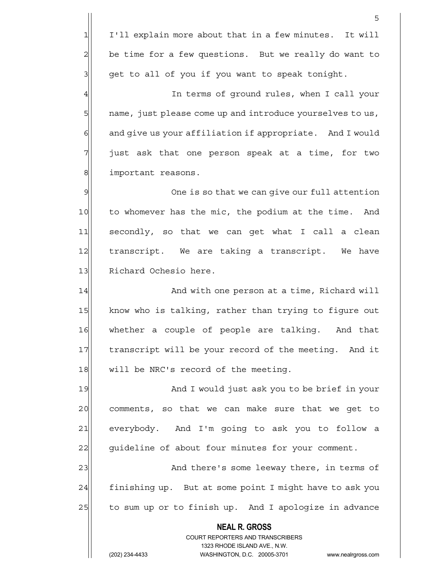1 I'll explain more about that in a few minutes. It will  $2$  be time for a few questions. But we really do want to  $3$  get to all of you if you want to speak tonight.

4 all terms of ground rules, when I call your 5  $\vert$  name, just please come up and introduce yourselves to us,  $6$  and give us your affiliation if appropriate. And I would  $7$  just ask that one person speak at a time, for two 8| important reasons.

9 9 One is so that we can give our full attention 10 to whomever has the mic, the podium at the time. And 11 secondly, so that we can get what I call a clean 12 transcript. We are taking a transcript. We have 13 Richard Ochesio here.

14 and with one person at a time, Richard will 15 know who is talking, rather than trying to figure out 16 whether a couple of people are talking. And that 17 transcript will be your record of the meeting. And it 18 will be NRC's record of the meeting.

19 and I would just ask you to be brief in your 20 comments, so that we can make sure that we get to 21 everybody. And I'm going to ask you to follow a 22 guideline of about four minutes for your comment.

23 and there's some leeway there, in terms of  $24$  finishing up. But at some point I might have to ask you  $25$  to sum up or to finish up. And I apologize in advance

> **NEAL R. GROSS** COURT REPORTERS AND TRANSCRIBERS 1323 RHODE ISLAND AVE., N.W.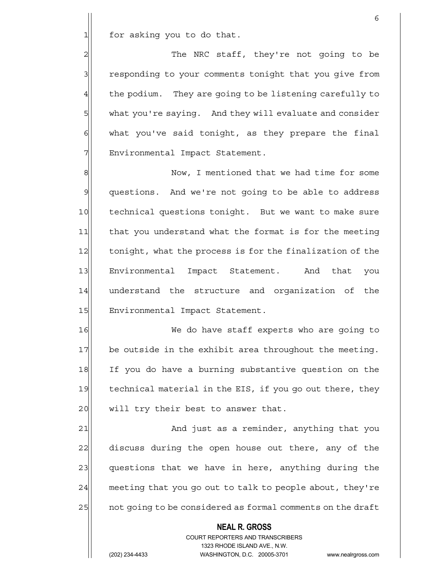$1$  for asking you to do that.

2 | The NRC staff, they're not going to be 3 responding to your comments tonight that you give from  $4$  the podium. They are going to be listening carefully to 5 what you're saying. And they will evaluate and consider  $6$  what you've said tonight, as they prepare the final 7 | Environmental Impact Statement.

 $\sim$  6

8 8 Now, I mentioned that we had time for some 9| questions. And we're not going to be able to address 10 technical questions tonight. But we want to make sure 11 that you understand what the format is for the meeting 12 tonight, what the process is for the finalization of the 13 Environmental Impact Statement. And that you 14 understand the structure and organization of the 15 Environmental Impact Statement.

16 We do have staff experts who are going to 17 be outside in the exhibit area throughout the meeting. 18 If you do have a burning substantive question on the 19 technical material in the EIS, if you go out there, they 20 will try their best to answer that.

21 and just as a reminder, anything that you 22 discuss during the open house out there, any of the 23 questions that we have in here, anything during the  $24$  meeting that you go out to talk to people about, they're 25 a not going to be considered as formal comments on the draft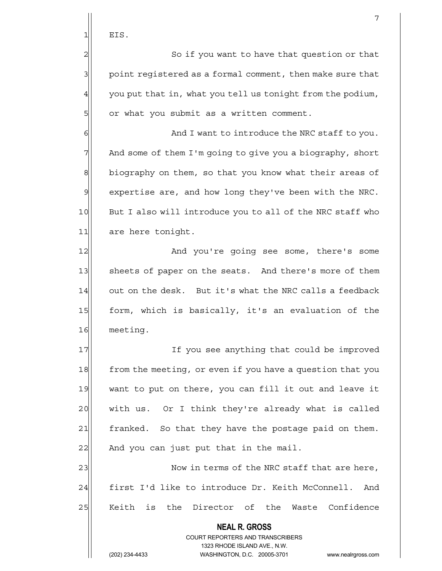$1$  EIS.

2 | So if you want to have that question or that  $3$  point registered as a formal comment, then make sure that  $4$  you put that in, what you tell us tonight from the podium, 5 or what you submit as a written comment.

 $6$   $\sim$  And I want to introduce the NRC staff to you. 7 And some of them I'm going to give you a biography, short 8 biography on them, so that you know what their areas of  $9$  expertise are, and how long they've been with the NRC. 10 But I also will introduce you to all of the NRC staff who 11 are here tonight.

12 And you're going see some, there's some 13 sheets of paper on the seats. And there's more of them 14 out on the desk. But it's what the NRC calls a feedback 15 form, which is basically, it's an evaluation of the 16 meeting.

17 If you see anything that could be improved 18 from the meeting, or even if you have a question that you 19 want to put on there, you can fill it out and leave it 20 with us. Or I think they're already what is called 21 | franked. So that they have the postage paid on them.  $22$  And you can just put that in the mail.

23  $\vert$  Now in terms of the NRC staff that are here, 24 first I'd like to introduce Dr. Keith McConnell. And 25 Keith is the Director of the Waste Confidence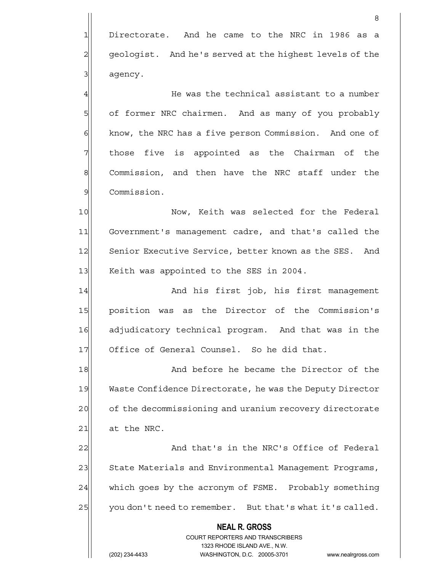1 Directorate. And he came to the NRC in 1986 as a 2 geologist. And he's served at the highest levels of the 3 agency.

en andere de la provincia de la provincia de la provincia de la provincia de la provincia de la provincia del<br>En la provincia de la provincia de la provincia de la provincia de la provincia de la provincia de la provinci

 $4$  He was the technical assistant to a number 5 of former NRC chairmen. And as many of you probably 6 6 know, the NRC has a five person Commission. And one of  $7$  those five is appointed as the Chairman of the 8 Commission, and then have the NRC staff under the 9 Commission.

10 Now, Keith was selected for the Federal 11 Government's management cadre, and that's called the 12 Senior Executive Service, better known as the SES. And 13 Keith was appointed to the SES in 2004.

14 And his first job, his first management 15 position was as the Director of the Commission's 16 adjudicatory technical program. And that was in the 17 Office of General Counsel. So he did that.

18 And before he became the Director of the 19 Waste Confidence Directorate, he was the Deputy Director 20 of the decommissioning and uranium recovery directorate  $21$  at the NRC.

22 And that's in the NRC's Office of Federal 23 State Materials and Environmental Management Programs, 24 which goes by the acronym of FSME. Probably something 25 you don't need to remember. But that's what it's called.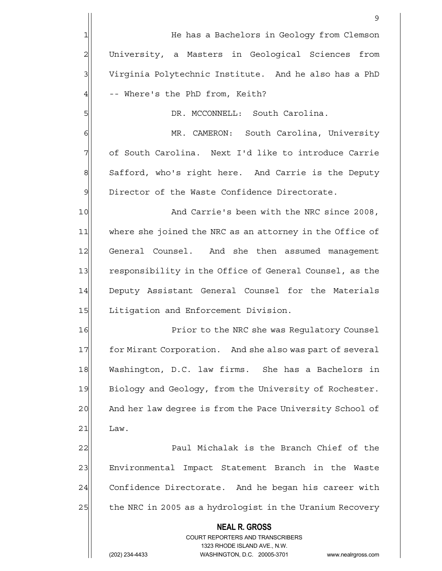|                | 9                                                                                                   |
|----------------|-----------------------------------------------------------------------------------------------------|
| $\mathbf 1$    | He has a Bachelors in Geology from Clemson                                                          |
| $\overline{c}$ | University, a Masters in Geological Sciences from                                                   |
| 3              | Virginia Polytechnic Institute. And he also has a PhD                                               |
| $\overline{4}$ | -- Where's the PhD from, Keith?                                                                     |
| 5              | DR. MCCONNELL: South Carolina.                                                                      |
| 6              | MR. CAMERON: South Carolina, University                                                             |
| 7              | of South Carolina. Next I'd like to introduce Carrie                                                |
| 8              | Safford, who's right here. And Carrie is the Deputy                                                 |
| $\mathcal{Q}$  | Director of the Waste Confidence Directorate.                                                       |
| 10             | And Carrie's been with the NRC since 2008,                                                          |
| 11             | where she joined the NRC as an attorney in the Office of                                            |
| 12             | General Counsel. And she then assumed management                                                    |
| 13             | responsibility in the Office of General Counsel, as the                                             |
| 14             | Deputy Assistant General Counsel for the Materials                                                  |
| 15             | Litigation and Enforcement Division.                                                                |
| 16             | Prior to the NRC she was Regulatory Counsel                                                         |
| 17             | for Mirant Corporation. And she also was part of several                                            |
| 18             | Washington, D.C. law firms. She has a Bachelors in                                                  |
| 19             | Biology and Geology, from the University of Rochester.                                              |
| 20             | And her law degree is from the Pace University School of                                            |
| 21             | Law.                                                                                                |
| 22             | Paul Michalak is the Branch Chief of the                                                            |
| 23             | Environmental Impact Statement Branch in the Waste                                                  |
| 24             | Confidence Directorate. And he began his career with                                                |
| 25             | the NRC in 2005 as a hydrologist in the Uranium Recovery                                            |
|                | <b>NEAL R. GROSS</b>                                                                                |
|                | <b>COURT REPORTERS AND TRANSCRIBERS</b>                                                             |
|                | 1323 RHODE ISLAND AVE., N.W.<br>(202) 234-4433<br>WASHINGTON, D.C. 20005-3701<br>www.nealrgross.com |
|                |                                                                                                     |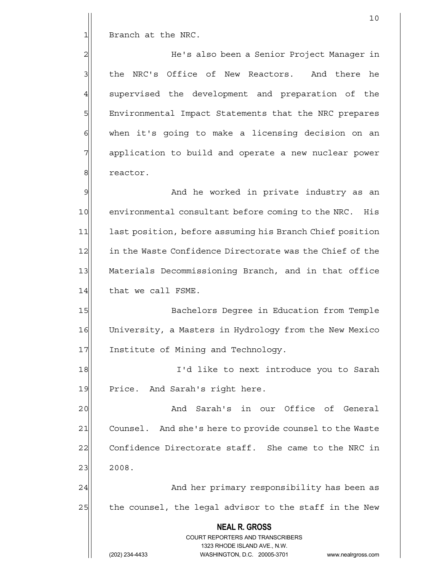1 Branch at the NRC.

2 He's also been a Senior Project Manager in 3 Ible NRC's Office of New Reactors. And there he 4 supervised the development and preparation of the 5 | Environmental Impact Statements that the NRC prepares  $6$  when it's going to make a licensing decision on an 7 | application to build and operate a new nuclear power 8 8 reactor.

9 And he worked in private industry as an 10 environmental consultant before coming to the NRC. His 11 1 last position, before assuming his Branch Chief position 12 in the Waste Confidence Directorate was the Chief of the 13 Materials Decommissioning Branch, and in that office 14 that we call FSME.

15 Bachelors Degree in Education from Temple 16 University, a Masters in Hydrology from the New Mexico 17 Institute of Mining and Technology.

18 I'd like to next introduce you to Sarah 19 Price. And Sarah's right here.

20 | And Sarah's in our Office of General 21 Counsel. And she's here to provide counsel to the Waste 22 Confidence Directorate staff. She came to the NRC in  $23$  2008.

24 and her primary responsibility has been as 25 the counsel, the legal advisor to the staff in the New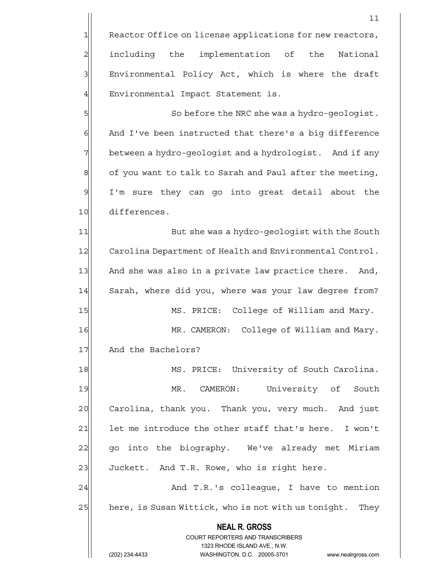$11$ 

5 So before the NRC she was a hydro-geologist. 6 And I've been instructed that there's a big difference 7 between a hydro-geologist and a hydrologist. And if any  $8$  of you want to talk to Sarah and Paul after the meeting, 9 I'm sure they can go into great detail about the 10 differences.

11 But she was a hydro-geologist with the South 12 Carolina Department of Health and Environmental Control. 13 And she was also in a private law practice there. And, 14 Sarah, where did you, where was your law degree from? 15 MS. PRICE: College of William and Mary. 16 MR. CAMERON: College of William and Mary. 17 And the Bachelors? 18 MS. PRICE: University of South Carolina. 19 MR. CAMERON: University of South

20 Carolina, thank you. Thank you, very much. And just 21 let me introduce the other staff that's here. I won't 22| go into the biography. We've already met Miriam 23 Juckett. And T.R. Rowe, who is right here.

24 and T.R.'s colleague, I have to mention 25 here, is Susan Wittick, who is not with us tonight. They

 **NEAL R. GROSS**

 COURT REPORTERS AND TRANSCRIBERS 1323 RHODE ISLAND AVE., N.W.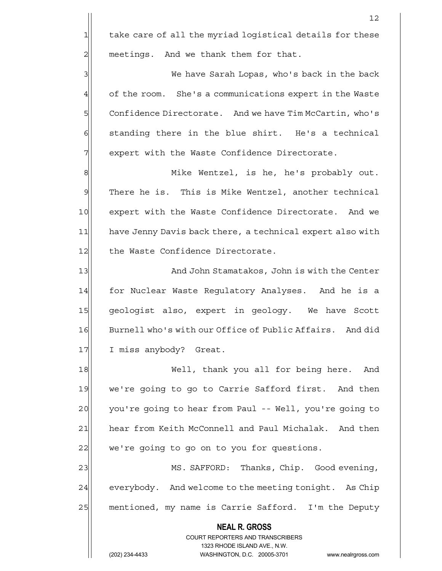12

3 3 We have Sarah Lopas, who's back in the back 4 of the room. She's a communications expert in the Waste 5 Confidence Directorate. And we have Tim McCartin, who's  $6$  standing there in the blue shirt. He's a technical 7 | expert with the Waste Confidence Directorate.

8 || Mike Wentzel, is he, he's probably out.  $9$  There he is. This is Mike Wentzel, another technical 10 expert with the Waste Confidence Directorate. And we 11 have Jenny Davis back there, a technical expert also with 12 the Waste Confidence Directorate.

13 And John Stamatakos, John is with the Center 14 for Nuclear Waste Requlatory Analyses. And he is a 15 geologist also, expert in geology. We have Scott 16 Burnell who's with our Office of Public Affairs. And did 17 I miss anybody? Great.

18 Well, thank you all for being here. And 19 we're going to go to Carrie Safford first. And then 20 you're going to hear from Paul -- Well, you're going to 21 hear from Keith McConnell and Paul Michalak. And then 22 we're going to go on to you for questions.

23 MS. SAFFORD: Thanks, Chip. Good evening, 24 everybody. And welcome to the meeting tonight. As Chip 25 mentioned, my name is Carrie Safford. I'm the Deputy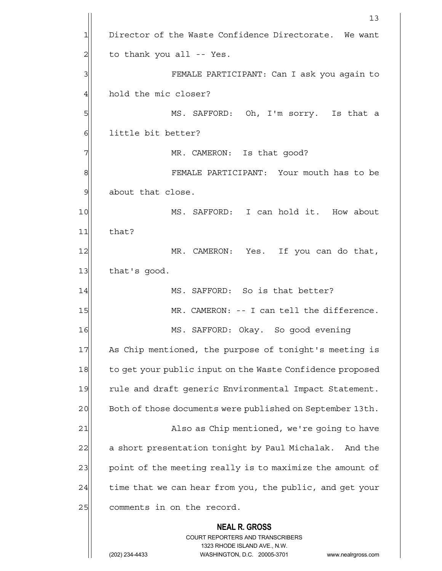|                | 13                                                                                                                                                                     |
|----------------|------------------------------------------------------------------------------------------------------------------------------------------------------------------------|
| 1              | Director of the Waste Confidence Directorate. We want                                                                                                                  |
| $\overline{c}$ | to thank you all -- Yes.                                                                                                                                               |
| 3              | FEMALE PARTICIPANT: Can I ask you again to                                                                                                                             |
| 4              | hold the mic closer?                                                                                                                                                   |
| 5              | MS. SAFFORD: Oh, I'm sorry. Is that a                                                                                                                                  |
| 6              | little bit better?                                                                                                                                                     |
| 7              | MR. CAMERON: Is that good?                                                                                                                                             |
| 8              | FEMALE PARTICIPANT: Your mouth has to be                                                                                                                               |
| $\mathcal{Q}$  | about that close.                                                                                                                                                      |
| 10             | MS. SAFFORD: I can hold it. How about                                                                                                                                  |
| 11             | that?                                                                                                                                                                  |
| 12             | MR. CAMERON: Yes. If you can do that,                                                                                                                                  |
| 13             | that's good.                                                                                                                                                           |
| 14             | MS. SAFFORD: So is that better?                                                                                                                                        |
| 15             | MR. CAMERON: -- I can tell the difference.                                                                                                                             |
| 16             | MS. SAFFORD: Okay. So good evening                                                                                                                                     |
| 17             | As Chip mentioned, the purpose of tonight's meeting is                                                                                                                 |
| 18             | to get your public input on the Waste Confidence proposed                                                                                                              |
| 19             | rule and draft generic Environmental Impact Statement.                                                                                                                 |
| 20             | Both of those documents were published on September 13th.                                                                                                              |
| 21             | Also as Chip mentioned, we're going to have                                                                                                                            |
| 22             | a short presentation tonight by Paul Michalak. And the                                                                                                                 |
| 23             | point of the meeting really is to maximize the amount of                                                                                                               |
| 24             | time that we can hear from you, the public, and get your                                                                                                               |
| 25             | comments in on the record.                                                                                                                                             |
|                | <b>NEAL R. GROSS</b><br><b>COURT REPORTERS AND TRANSCRIBERS</b><br>1323 RHODE ISLAND AVE., N.W.<br>(202) 234-4433<br>WASHINGTON, D.C. 20005-3701<br>www.nealrgross.com |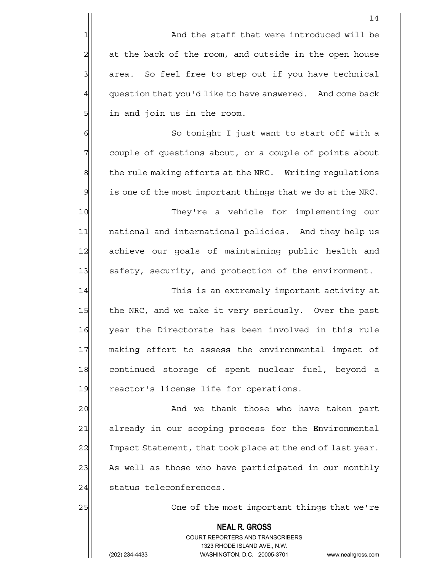1 and the staff that were introduced will be  $2$  at the back of the room, and outside in the open house 3 area. So feel free to step out if you have technical  $4$  question that you'd like to have answered. And come back 5| in and join us in the room.

6 | So tonight I just want to start off with a 7 7 couple of questions about, or a couple of points about 8 the rule making efforts at the NRC. Writing regulations  $9$  is one of the most important things that we do at the NRC.

10 They're a vehicle for implementing our 11 | national and international policies. And they help us 12 achieve our goals of maintaining public health and 13 safety, security, and protection of the environment.

14 This is an extremely important activity at 15 the NRC, and we take it very seriously. Over the past 16 year the Directorate has been involved in this rule 17 making effort to assess the environmental impact of 18 continued storage of spent nuclear fuel, beyond a 19 reactor's license life for operations.

20 and we thank those who have taken part 21 already in our scoping process for the Environmental 22 | Impact Statement, that took place at the end of last year. 23 As well as those who have participated in our monthly 24 status teleconferences.

25 25 One of the most important things that we're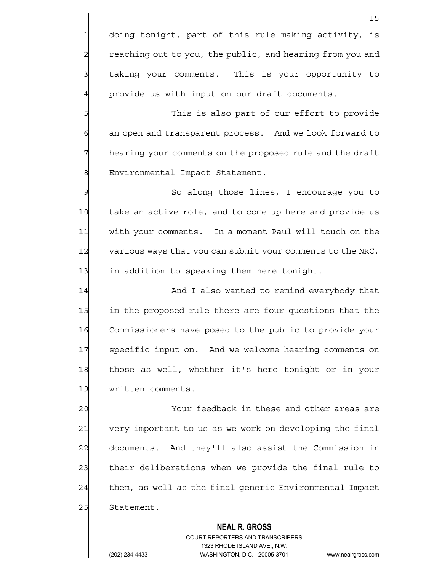1 doing tonight, part of this rule making activity, is 2 reaching out to you, the public, and hearing from you and 3 3 die taking your comments. This is your opportunity to  $4$  provide us with input on our draft documents.

5 This is also part of our effort to provide 6 6 6 6 an open and transparent process. And we look forward to 7 hearing your comments on the proposed rule and the draft 8| Environmental Impact Statement.

9 So along those lines, I encourage you to 10 take an active role, and to come up here and provide us 11 with your comments. In a moment Paul will touch on the 12 various ways that you can submit your comments to the NRC, 13 in addition to speaking them here tonight.

14 || And I also wanted to remind everybody that 15 in the proposed rule there are four questions that the 16 Commissioners have posed to the public to provide your 17 Specific input on. And we welcome hearing comments on 18 those as well, whether it's here tonight or in your 19 written comments.

20 Your feedback in these and other areas are 21 very important to us as we work on developing the final 22 documents. And they'll also assist the Commission in 23 their deliberations when we provide the final rule to 24 them, as well as the final generic Environmental Impact 25 Statement.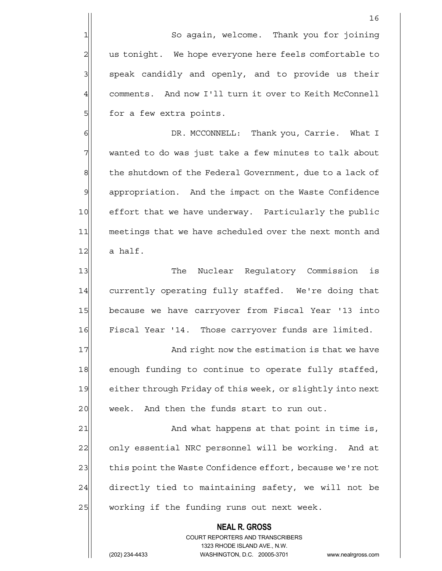1 So again, welcome. Thank you for joining 2| us tonight. We hope everyone here feels comfortable to  $3$  speak candidly and openly, and to provide us their 4 comments. And now I'll turn it over to Keith McConnell 5 | for a few extra points.

6 6 Ok. MCCONNELL: Thank you, Carrie. What I 7 wanted to do was just take a few minutes to talk about 8 the shutdown of the Federal Government, due to a lack of 9 appropriation. And the impact on the Waste Confidence 10 effort that we have underway. Particularly the public 11 meetings that we have scheduled over the next month and  $12$  a half.

13 The Nuclear Regulatory Commission is 14 currently operating fully staffed. We're doing that 15 because we have carryover from Fiscal Year '13 into 16 Fiscal Year '14. Those carryover funds are limited.

17 And right now the estimation is that we have 18 enough funding to continue to operate fully staffed, 19 either through Friday of this week, or slightly into next 20 week. And then the funds start to run out.

21 and what happens at that point in time is, 22 only essential NRC personnel will be working. And at 23 this point the Waste Confidence effort, because we're not 24 directly tied to maintaining safety, we will not be 25 working if the funding runs out next week.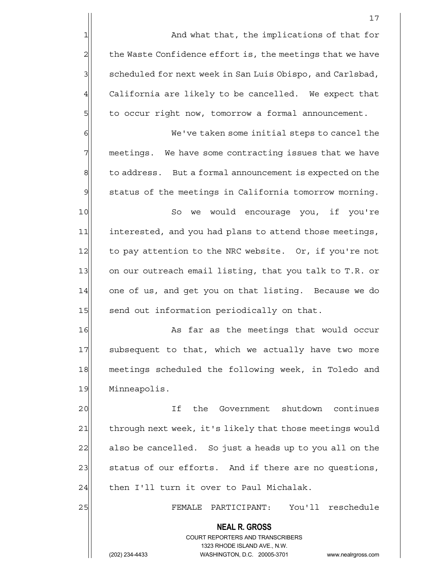1 and what that, the implications of that for  $2$  the Waste Confidence effort is, the meetings that we have 3 | scheduled for next week in San Luis Obispo, and Carlsbad, 4 California are likely to be cancelled. We expect that 5 5 5 to occur right now, tomorrow a formal announcement.

6 6 We've taken some initial steps to cancel the 7 | meetings. We have some contracting issues that we have 8 to address. But a formal announcement is expected on the  $9$  status of the meetings in California tomorrow morning.

10 So we would encourage you, if you're 11 interested, and you had plans to attend those meetings, 12 to pay attention to the NRC website. Or, if you're not 13 on our outreach email listing, that you talk to T.R. or 14 one of us, and get you on that listing. Because we do 15 send out information periodically on that.

16 As far as the meetings that would occur 17 subsequent to that, which we actually have two more 18 meetings scheduled the following week, in Toledo and 19 Minneapolis.

20 and 11 If the Government shutdown continues 21 through next week, it's likely that those meetings would 22 also be cancelled. So just a heads up to you all on the 23 status of our efforts. And if there are no questions,  $24$  then I'll turn it over to Paul Michalak.

 **NEAL R. GROSS**

25 FEMALE PARTICIPANT: You'll reschedule

 COURT REPORTERS AND TRANSCRIBERS 1323 RHODE ISLAND AVE., N.W.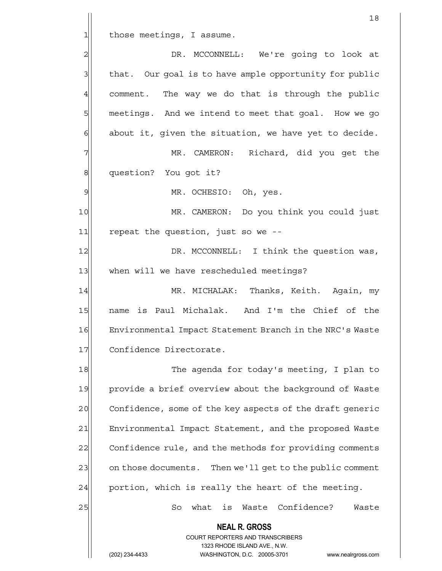$1$  those meetings, I assume.

2 DR. MCCONNELL: We're going to look at 3 that. Our goal is to have ample opportunity for public  $4$  comment. The way we do that is through the public 5 meetings. And we intend to meet that goal. How we go  $6$  about it, given the situation, we have yet to decide. 7 MR. CAMERON: Richard, did you get the 8 | question? You got it? 9 MR. OCHESIO: Oh, yes. 10 MR. CAMERON: Do you think you could just  $11$  repeat the question, just so we --12 DR. MCCONNELL: I think the question was, 13 when will we have rescheduled meetings? 14 MR. MICHALAK: Thanks, Keith. Again, my 15 | name is Paul Michalak. And I'm the Chief of the 16 Environmental Impact Statement Branch in the NRC's Waste 17 Confidence Directorate. 18 The agenda for today's meeting, I plan to 19 provide a brief overview about the background of Waste 20 Confidence, some of the key aspects of the draft generic 21 Environmental Impact Statement, and the proposed Waste 22 Confidence rule, and the methods for providing comments 23 on those documents. Then we'll get to the public comment  $24$  portion, which is really the heart of the meeting. 25 So what is Waste Confidence? Waste

18

 **NEAL R. GROSS** COURT REPORTERS AND TRANSCRIBERS 1323 RHODE ISLAND AVE., N.W.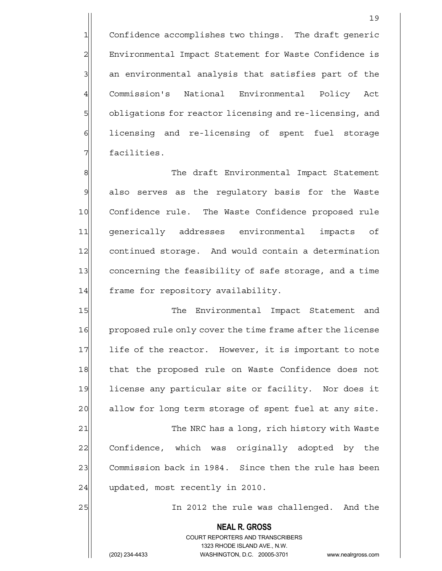1 Confidence accomplishes two things. The draft generic 2 Environmental Impact Statement for Waste Confidence is 3 3 3 an environmental analysis that satisfies part of the 4 Commission's National Environmental Policy Act 5 bligations for reactor licensing and re-licensing, and 6 6 6 6 icensing and re-licensing of spent fuel storage 7 | facilities.

8 The draft Environmental Impact Statement 9 also serves as the requlatory basis for the Waste 10 Confidence rule. The Waste Confidence proposed rule 11 generically addresses environmental impacts of 12 continued storage. And would contain a determination 13 concerning the feasibility of safe storage, and a time 14 frame for repository availability.

15 The Environmental Impact Statement and 16 proposed rule only cover the time frame after the license 17 life of the reactor. However, it is important to note 18 that the proposed rule on Waste Confidence does not 19 license any particular site or facility. Nor does it 20 allow for long term storage of spent fuel at any site. 21 The NRC has a long, rich history with Waste 22 Confidence, which was originally adopted by the 23 Commission back in 1984. Since then the rule has been  $24$  updated, most recently in 2010.

25 and the rule was challenged. And the rule was challenged.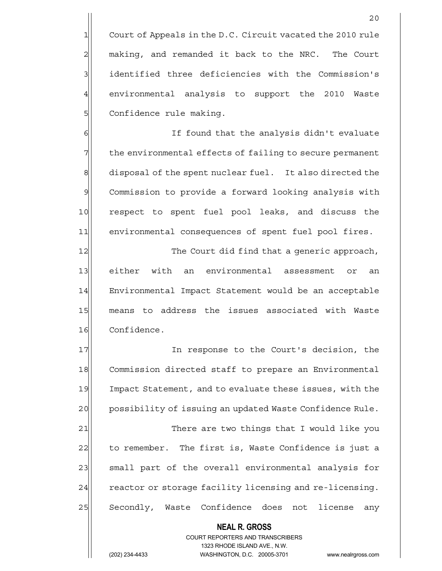$1$  Court of Appeals in the D.C. Circuit vacated the 2010 rule 2 making, and remanded it back to the NRC. The Court 3 | identified three deficiencies with the Commission's 4 environmental analysis to support the 2010 Waste 5 | Confidence rule making.

6 6 If found that the analysis didn't evaluate 7 The environmental effects of failing to secure permanent 8 disposal of the spent nuclear fuel. It also directed the 9| Commission to provide a forward looking analysis with 10 respect to spent fuel pool leaks, and discuss the 11 environmental consequences of spent fuel pool fires.

12 The Court did find that a generic approach, 13 either with an environmental assessment or an 14 Environmental Impact Statement would be an acceptable 15 means to address the issues associated with Waste 16 Confidence.

17| The response to the Court's decision, the 18 Commission directed staff to prepare an Environmental 19 Impact Statement, and to evaluate these issues, with the 20 possibility of issuing an updated Waste Confidence Rule. 21 There are two things that I would like you 22 to remember. The first is, Waste Confidence is just a 23| small part of the overall environmental analysis for 24 reactor or storage facility licensing and re-licensing. 25 Secondly, Waste Confidence does not license any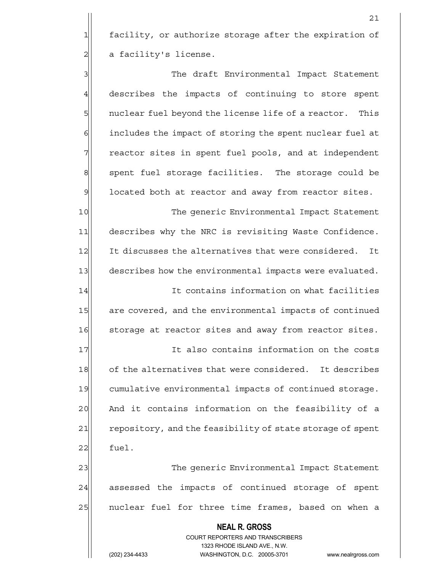1 facility, or authorize storage after the expiration of 2 a facility's license.

3 3 3 The draft Environmental Impact Statement 4 describes the impacts of continuing to store spent 5 5 5 1 5 nuclear fuel beyond the license life of a reactor. This 6 6 6 includes the impact of storing the spent nuclear fuel at 7 The reactor sites in spent fuel pools, and at independent 8 spent fuel storage facilities. The storage could be 9 located both at reactor and away from reactor sites.

10 The generic Environmental Impact Statement 11 describes why the NRC is revisiting Waste Confidence. 12 It discusses the alternatives that were considered. It 13 describes how the environmental impacts were evaluated. 14 It contains information on what facilities

15 are covered, and the environmental impacts of continued 16 Storage at reactor sites and away from reactor sites.

17 17 It also contains information on the costs 18 of the alternatives that were considered. It describes 19 cumulative environmental impacts of continued storage. 20 And it contains information on the feasibility of a 21 repository, and the feasibility of state storage of spent  $22$  fuel.

23 The generic Environmental Impact Statement 24 assessed the impacts of continued storage of spent 25 | nuclear fuel for three time frames, based on when a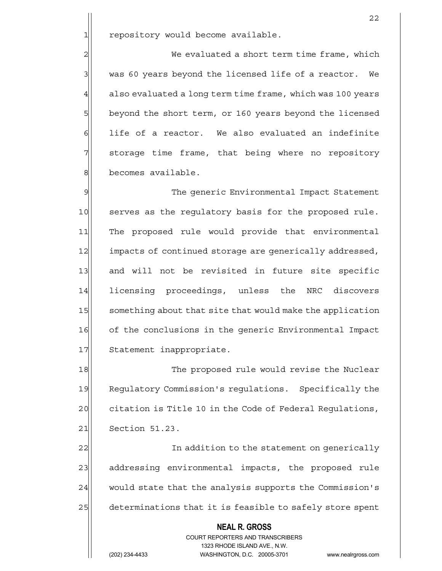1 repository would become available.

2 2 We evaluated a short term time frame, which  $3$  was 60 years beyond the licensed life of a reactor. We  $4$  also evaluated a long term time frame, which was 100 years 5 beyond the short term, or 160 years beyond the licensed  $6$  life of a reactor. We also evaluated an indefinite 7 Storage time frame, that being where no repository 8 becomes available.

9 The generic Environmental Impact Statement 10 serves as the regulatory basis for the proposed rule. 11 The proposed rule would provide that environmental 12 impacts of continued storage are generically addressed, 13 and will not be revisited in future site specific 14 licensing proceedings, unless the NRC discovers 15 something about that site that would make the application 16 of the conclusions in the generic Environmental Impact 17 Statement inappropriate.

18 The proposed rule would revise the Nuclear 19 Requiatory Commission's requiations. Specifically the 20 citation is Title 10 in the Code of Federal Regulations, 21 Section 51.23.

22 and 1 In addition to the statement on generically 23 addressing environmental impacts, the proposed rule 24 would state that the analysis supports the Commission's 25 determinations that it is feasible to safely store spent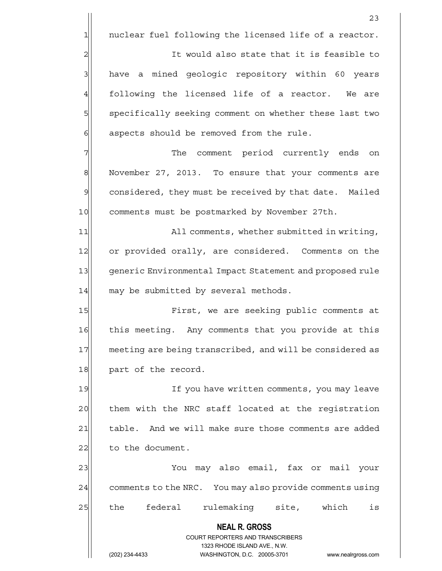$1$  nuclear fuel following the licensed life of a reactor.

23

2 2 It would also state that it is feasible to 3| have a mined geologic repository within 60 years  $4$  following the licensed life of a reactor. We are 5 specifically seeking comment on whether these last two 6 6 6 6 aspects should be removed from the rule.

7 The comment period currently ends on 8 November 27, 2013. To ensure that your comments are 9 considered, they must be received by that date. Mailed 10 comments must be postmarked by November 27th.

11 All comments, whether submitted in writing, 12 or provided orally, are considered. Comments on the 13 generic Environmental Impact Statement and proposed rule  $14$  may be submitted by several methods.

15 First, we are seeking public comments at 16 this meeting. Any comments that you provide at this 17 meeting are being transcribed, and will be considered as 18 part of the record.

19 If you have written comments, you may leave 20 them with the NRC staff located at the registration 21 | table. And we will make sure those comments are added 22 to the document.

23 You may also email, fax or mail your 24 comments to the NRC. You may also provide comments using 25 the federal rulemaking site, which is

 **NEAL R. GROSS**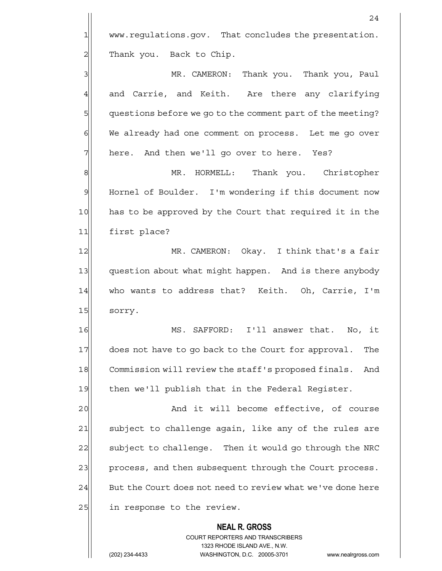1 www.regulations.gov. That concludes the presentation. 2 Thank you. Back to Chip. 3 MR. CAMERON: Thank you. Thank you, Paul

4 and Carrie, and Keith. Are there any clarifying 5 guestions before we go to the comment part of the meeting? 6 We already had one comment on process. Let me go over 7 here. And then we'll go over to here. Yes?

8 MR. HORMELL: Thank you. Christopher 9 Hornel of Boulder. I'm wondering if this document now 10 has to be approved by the Court that required it in the 11 first place?

12 MR. CAMERON: Okay. I think that's a fair 13 question about what might happen. And is there anybody 14 who wants to address that? Keith. Oh, Carrie, I'm 15 sorry.

16 MS. SAFFORD: I'll answer that. No, it 17 does not have to go back to the Court for approval. The 18 Commission will review the staff's proposed finals. And 19 then we'll publish that in the Federal Reqister.

20 and it will become effective, of course 21 subject to challenge again, like any of the rules are 22 subject to challenge. Then it would go through the NRC 23 process, and then subsequent through the Court process.  $24$  But the Court does not need to review what we've done here 25 in response to the review.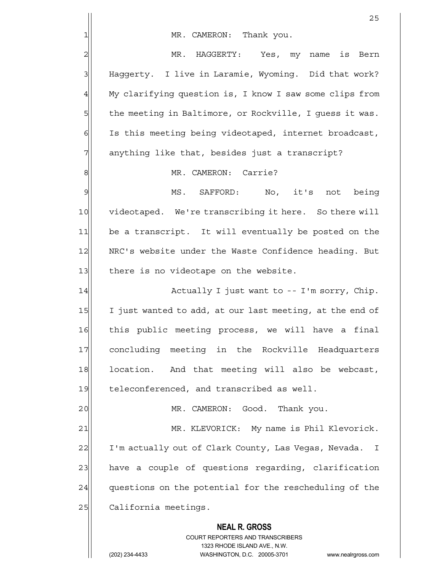|                 | 25                                                                      |
|-----------------|-------------------------------------------------------------------------|
| 1               | MR. CAMERON: Thank you.                                                 |
| $\overline{c}$  | MR. HAGGERTY: Yes, my name is<br>Bern                                   |
| 3               | Haggerty. I live in Laramie, Wyoming. Did that work?                    |
| $\overline{4}$  | My clarifying question is, I know I saw some clips from                 |
| 5               | the meeting in Baltimore, or Rockville, I guess it was.                 |
| 6               | Is this meeting being videotaped, internet broadcast,                   |
| 7               | anything like that, besides just a transcript?                          |
| 8               | MR. CAMERON: Carrie?                                                    |
| 9               | MS. SAFFORD: No, it's not<br>being                                      |
| 10              | videotaped. We're transcribing it here. So there will                   |
| 11              | be a transcript. It will eventually be posted on the                    |
| 12              | NRC's website under the Waste Confidence heading. But                   |
| 13              | there is no videotape on the website.                                   |
| 14              | Actually I just want to -- I'm sorry, Chip.                             |
| 15              | I just wanted to add, at our last meeting, at the end of                |
| 16              | this public meeting process, we will have a final                       |
| 17              | concluding meeting in the Rockville Headquarters                        |
| 18              | location. And that meeting will also be webcast,                        |
| 19              | teleconferenced, and transcribed as well.                               |
| 20              | MR. CAMERON: Good. Thank you.                                           |
| $\overline{21}$ | MR. KLEVORICK: My name is Phil Klevorick.                               |
| 22              | I'm actually out of Clark County, Las Vegas, Nevada.<br>I               |
| 23              | have a couple of questions regarding, clarification                     |
| 24              | questions on the potential for the rescheduling of the                  |
| 25              | California meetings.                                                    |
|                 | <b>NEAL R. GROSS</b>                                                    |
|                 | <b>COURT REPORTERS AND TRANSCRIBERS</b><br>1323 RHODE ISLAND AVE., N.W. |
|                 | (202) 234-4433<br>WASHINGTON, D.C. 20005-3701<br>www.nealrgross.com     |
|                 |                                                                         |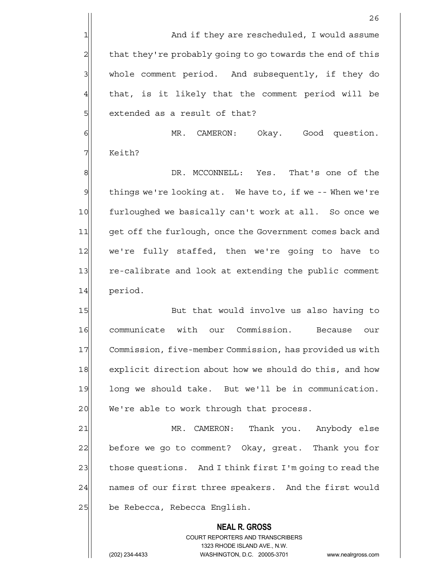1 and if they are rescheduled, I would assume  $2$  that they're probably going to go towards the end of this 3 whole comment period. And subsequently, if they do  $4$  that, is it likely that the comment period will be 5 solut of that?

6 MR. CAMERON: Okay. Good question. 7 Keith?

8 8 B DR. MCCONNELL: Yes. That's one of the 9| things we're looking at. We have to, if we -- When we're 10 furloughed we basically can't work at all. So once we 11 get off the furlough, once the Government comes back and 12 we're fully staffed, then we're going to have to 13 re-calibrate and look at extending the public comment 14 period.

15 But that would involve us also having to 16 communicate with our Commission. Because our 17 Commission, five-member Commission, has provided us with 18 explicit direction about how we should do this, and how 19 long we should take. But we'll be in communication. 20 We're able to work through that process.

21 MR. CAMERON: Thank you. Anybody else 22 before we go to comment? Okay, great. Thank you for 23 those questions. And I think first I'm going to read the 24 | names of our first three speakers. And the first would 25 be Rebecca, Rebecca English.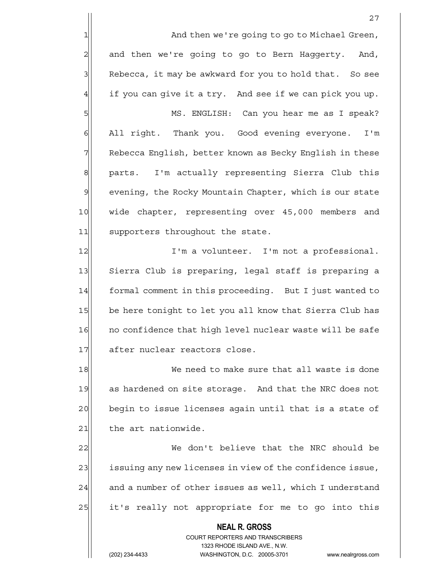1 and then we're going to go to Michael Green,  $2$  and then we're going to go to Bern Haggerty. And, 3 Rebecca, it may be awkward for you to hold that. So see  $4$  if you can give it a try. And see if we can pick you up.

5 MS. ENGLISH: Can you hear me as I speak? 6 | All right. Thank you. Good evening everyone. I'm 7 Rebecca English, better known as Becky English in these 8 parts. I'm actually representing Sierra Club this 9 | evening, the Rocky Mountain Chapter, which is our state 10 | wide chapter, representing over 45,000 members and 11 supporters throughout the state.

12 I'm a volunteer. I'm not a professional. 13 Sierra Club is preparing, legal staff is preparing a 14 formal comment in this proceeding. But I just wanted to 15 be here tonight to let you all know that Sierra Club has 16 no confidence that high level nuclear waste will be safe 17 after nuclear reactors close.

18 We need to make sure that all waste is done 19 as hardened on site storage. And that the NRC does not 20 begin to issue licenses again until that is a state of  $21$  the art nationwide.

22 We don't believe that the NRC should be 23 issuing any new licenses in view of the confidence issue,  $24$  and a number of other issues as well, which I understand 25 it's really not appropriate for me to go into this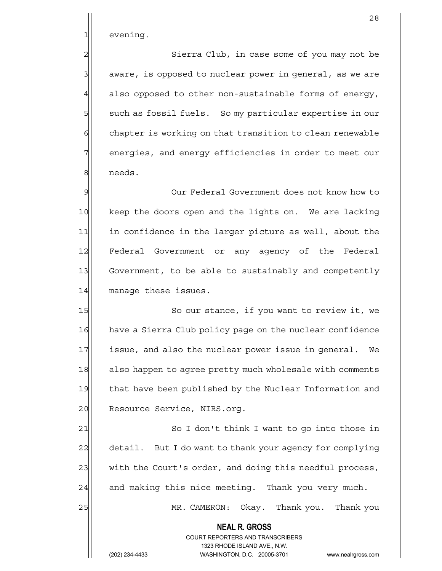1 evening.

2 | Sierra Club, in case some of you may not be 3 aware, is opposed to nuclear power in general, as we are  $4$  also opposed to other non-sustainable forms of energy, 5 such as fossil fuels. So my particular expertise in our  $6$  chapter is working on that transition to clean renewable  $7$  energies, and energy efficiencies in order to meet our 8 needs.

9 9 Our Federal Government does not know how to 10 keep the doors open and the lights on. We are lacking 11 in confidence in the larger picture as well, about the 12 Federal Government or any agency of the Federal 13 Government, to be able to sustainably and competently 14 manage these issues.

15 So our stance, if you want to review it, we 16 have a Sierra Club policy page on the nuclear confidence 17 issue, and also the nuclear power issue in general. We 18 also happen to agree pretty much wholesale with comments 19 that have been published by the Nuclear Information and 20 Resource Service, NIRS.org.

21 | So I don't think I want to go into those in 22 detail. But I do want to thank your agency for complying 23 with the Court's order, and doing this needful process,  $24$  and making this nice meeting. Thank you very much.

> **NEAL R. GROSS** COURT REPORTERS AND TRANSCRIBERS 1323 RHODE ISLAND AVE., N.W.

25 MR. CAMERON: Okay. Thank you. Thank you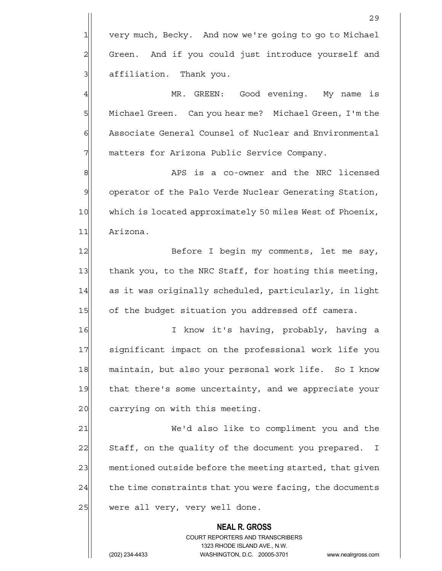4 MR. GREEN: Good evening. My name is 5 Michael Green. Can you hear me? Michael Green, I'm the 6 Associate General Counsel of Nuclear and Environmental 7 | matters for Arizona Public Service Company.

8 8 APS is a co-owner and the NRC licensed 9 operator of the Palo Verde Nuclear Generating Station, 10 which is located approximately 50 miles West of Phoenix, 11 Arizona.

12 Before I begin my comments, let me say, 13 thank you, to the NRC Staff, for hosting this meeting, 14 as it was originally scheduled, particularly, in light 15 of the budget situation you addressed off camera.

16 I know it's having, probably, having a 17 Significant impact on the professional work life you 18 maintain, but also your personal work life. So I know 19 that there's some uncertainty, and we appreciate your 20 carrying on with this meeting.

21 We'd also like to compliment you and the 22 Staff, on the quality of the document you prepared. I 23 mentioned outside before the meeting started, that given  $24$  the time constraints that you were facing, the documents  $25$  were all very, very well done.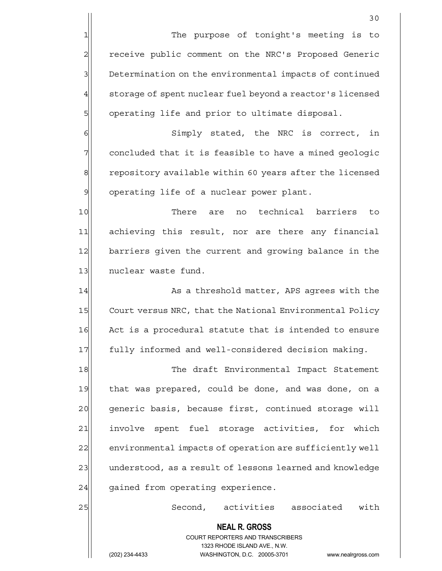1 The purpose of tonight's meeting is to 2 | receive public comment on the NRC's Proposed Generic 3 Determination on the environmental impacts of continued  $4$  storage of spent nuclear fuel beyond a reactor's licensed 5 | operating life and prior to ultimate disposal.

6 | Simply stated, the NRC is correct, in 7 | concluded that it is feasible to have a mined geologic 8 repository available within 60 years after the licensed 9 | operating life of a nuclear power plant.

10 There are no technical barriers to 11 achieving this result, nor are there any financial 12 barriers given the current and growing balance in the 13 nuclear waste fund.

14 As a threshold matter, APS agrees with the 15 Court versus NRC, that the National Environmental Policy 16 Act is a procedural statute that is intended to ensure 17 | fully informed and well-considered decision making.

18 The draft Environmental Impact Statement 19 that was prepared, could be done, and was done, on a 20 | generic basis, because first, continued storage will 21 involve spent fuel storage activities, for which 22 environmental impacts of operation are sufficiently well 23 understood, as a result of lessons learned and knowledge  $24$  gained from operating experience.

25 Second, activities associated with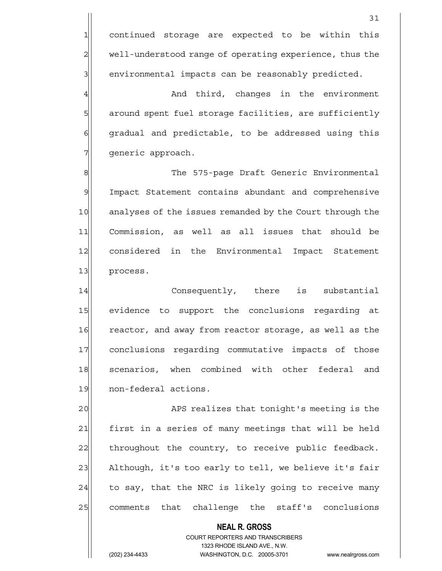4 And third, changes in the environment 5 5 5 5 5 around spent fuel storage facilities, are sufficiently 6 6 6 6 gradual and predictable, to be addressed using this 7 generic approach.

8 8 The 575-page Draft Generic Environmental 9 Impact Statement contains abundant and comprehensive 10 analyses of the issues remanded by the Court through the 11 Commission, as well as all issues that should be 12 considered in the Environmental Impact Statement 13 process.

14 Consequently, there is substantial 15 evidence to support the conclusions regarding at 16 reactor, and away from reactor storage, as well as the 17 conclusions regarding commutative impacts of those 18 scenarios, when combined with other federal and 19 non-federal actions.

20 APS realizes that tonight's meeting is the 21 | first in a series of many meetings that will be held 22 throughout the country, to receive public feedback. 23 Although, it's too early to tell, we believe it's fair  $24$  to say, that the NRC is likely going to receive many 25 comments that challenge the staff's conclusions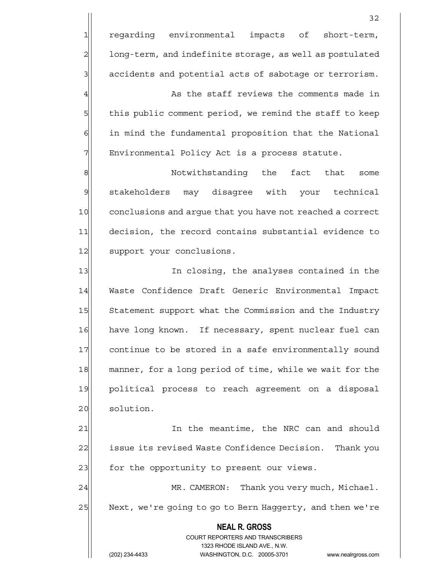32 1 regarding environmental impacts of short-term, 2 long-term, and indefinite storage, as well as postulated  $3$  accidents and potential acts of sabotage or terrorism. 4 As the staff reviews the comments made in 5 5 5 5 this public comment period, we remind the staff to keep 6 6 in mind the fundamental proposition that the National 7 | Environmental Policy Act is a process statute. 8 8 Notwithstanding the fact that some 9 stakeholders may disagree with your technical 10 conclusions and argue that you have not reached a correct 11 decision, the record contains substantial evidence to 12 support your conclusions. 13 In closing, the analyses contained in the 14 Waste Confidence Draft Generic Environmental Impact 15 Statement support what the Commission and the Industry 16 have long known. If necessary, spent nuclear fuel can 17 continue to be stored in a safe environmentally sound

18 manner, for a long period of time, while we wait for the 19 political process to reach agreement on a disposal 20 solution.

21 In the meantime, the NRC can and should 22 issue its revised Waste Confidence Decision. Thank you 23 for the opportunity to present our views.

24 MR. CAMERON: Thank you very much, Michael. 25 Next, we're going to go to Bern Haggerty, and then we're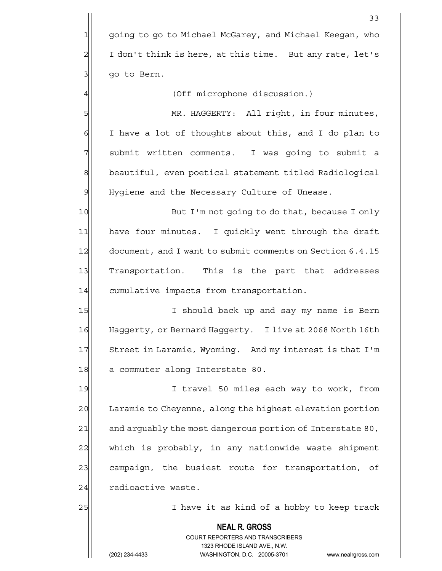|                | 33                                                                                                  |
|----------------|-----------------------------------------------------------------------------------------------------|
| $\mathbf{1}$   | going to go to Michael McGarey, and Michael Keegan, who                                             |
| $\overline{2}$ | I don't think is here, at this time. But any rate, let's                                            |
| 3              | go to Bern.                                                                                         |
| 4              | (Off microphone discussion.)                                                                        |
| 5              | MR. HAGGERTY: All right, in four minutes,                                                           |
| 6              | I have a lot of thoughts about this, and I do plan to                                               |
| 7              | submit written comments. I was going to submit a                                                    |
| $\mathbf 8$    | beautiful, even poetical statement titled Radiological                                              |
| 9              | Hygiene and the Necessary Culture of Unease.                                                        |
| 10             | But I'm not going to do that, because I only                                                        |
| 11             | have four minutes. I quickly went through the draft                                                 |
| 12             | document, and I want to submit comments on Section 6.4.15                                           |
| 13             | Transportation. This is the part that addresses                                                     |
| 14             | cumulative impacts from transportation.                                                             |
| 15             | I should back up and say my name is Bern                                                            |
| 16             | Haggerty, or Bernard Haggerty. I live at 2068 North 16th                                            |
| 17             | Street in Laramie, Wyoming. And my interest is that I'm                                             |
| 18             | a commuter along Interstate 80.                                                                     |
| 19             | I travel 50 miles each way to work, from                                                            |
| 20             | Laramie to Cheyenne, along the highest elevation portion                                            |
| 21             | and arguably the most dangerous portion of Interstate 80,                                           |
| 22             | which is probably, in any nationwide waste shipment                                                 |
| 23             | campaign, the busiest route for transportation, of                                                  |
| 24             | radioactive waste.                                                                                  |
| 25             | I have it as kind of a hobby to keep track                                                          |
|                | <b>NEAL R. GROSS</b>                                                                                |
|                | <b>COURT REPORTERS AND TRANSCRIBERS</b>                                                             |
|                | 1323 RHODE ISLAND AVE., N.W.<br>(202) 234-4433<br>WASHINGTON, D.C. 20005-3701<br>www.nealrgross.com |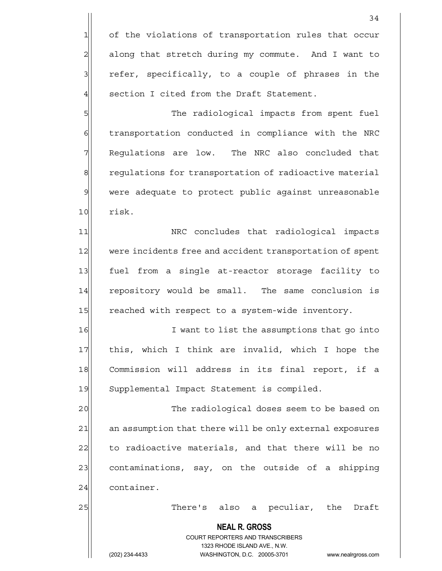1 of the violations of transportation rules that occur 2 along that stretch during my commute. And I want to 3 3 refer, specifically, to a couple of phrases in the 4 section I cited from the Draft Statement.

5 SM Shapes The radiological impacts from spent fuel 6 6 6 6 transportation conducted in compliance with the NRC 7 Requlations are low. The NRC also concluded that 8 8 regulations for transportation of radioactive material 9 were adequate to protect public against unreasonable 10 risk.

11 | NRC concludes that radiological impacts 12 were incidents free and accident transportation of spent 13 fuel from a single at-reactor storage facility to 14| repository would be small. The same conclusion is 15 reached with respect to a system-wide inventory.

16 I want to list the assumptions that go into 17| this, which I think are invalid, which I hope the 18 Commission will address in its final report, if a 19 Supplemental Impact Statement is compiled.

20  $\vert$  The radiological doses seem to be based on 21 an assumption that there will be only external exposures  $22$  to radioactive materials, and that there will be no 23 23 contaminations, say, on the outside of a shipping 24 container.

25 There's also a peculiar, the Draft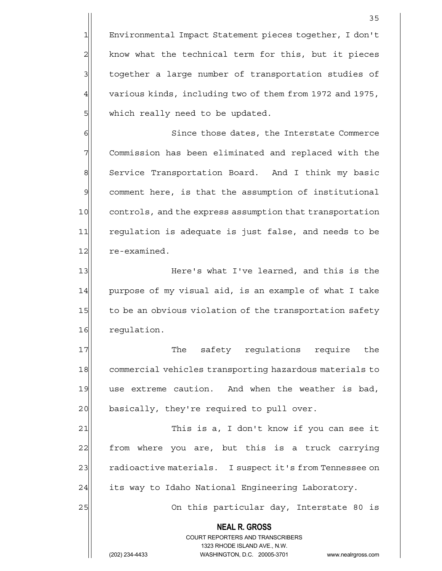1 Environmental Impact Statement pieces together, I don't  $2$  know what the technical term for this, but it pieces 3 3 1 together a large number of transportation studies of 4 various kinds, including two of them from 1972 and 1975, 5 | which really need to be updated.

6 Since those dates, the Interstate Commerce 7 Commission has been eliminated and replaced with the 8 Service Transportation Board. And I think my basic 9 comment here, is that the assumption of institutional 10 controls, and the express assumption that transportation 11 regulation is adequate is just false, and needs to be 12 re-examined.

13 Here's what I've learned, and this is the 14 purpose of my visual aid, is an example of what I take 15 to be an obvious violation of the transportation safety 16 requiation.

17 The safety requlations require the 18 commercial vehicles transporting hazardous materials to 19 use extreme caution. And when the weather is bad, 20 basically, they're required to pull over.

21 This is a, I don't know if you can see it 22 from where you are, but this is a truck carrying 23 radioactive materials. I suspect it's from Tennessee on 24 its way to Idaho National Engineering Laboratory.

25 On this particular day, Interstate 80 is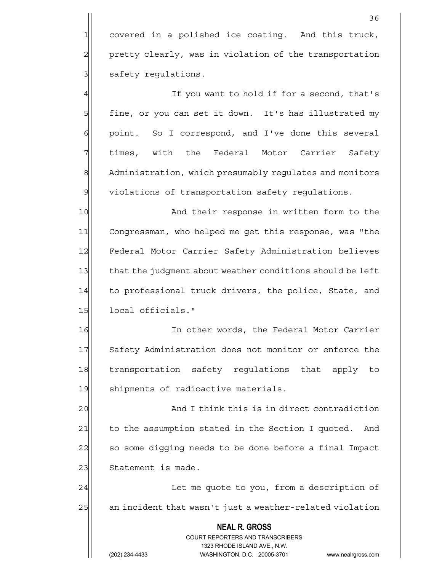1 covered in a polished ice coating. And this truck, 2 pretty clearly, was in violation of the transportation 3 | safety regulations.

4 all the second, that's intervals in the second, that's 5 fine, or you can set it down. It's has illustrated my 6 6 point. So I correspond, and I've done this several 7 The simes, with the Federal Motor Carrier Safety 8 Administration, which presumably regulates and monitors  $9$  violations of transportation safety requlations.

10 And their response in written form to the 11 Congressman, who helped me get this response, was "the 12 Federal Motor Carrier Safety Administration believes 13 that the judgment about weather conditions should be left 14 to professional truck drivers, the police, State, and 15 local officials."

16 In other words, the Federal Motor Carrier 17 Safety Administration does not monitor or enforce the 18 transportation safety regulations that apply to 19 Shipments of radioactive materials.

20 and I think this is in direct contradiction 21 to the assumption stated in the Section I quoted. And 22 so some digging needs to be done before a final Impact 23 Statement is made.

24 | Let me quote to you, from a description of 25 an incident that wasn't just a weather-related violation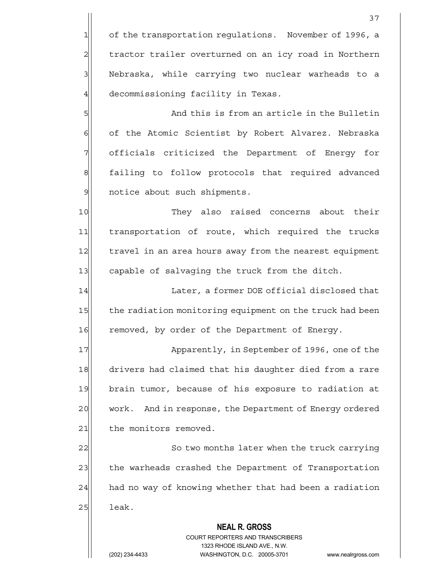1 of the transportation regulations. November of 1996, a 2 tractor trailer overturned on an icy road in Northern 3 Nebraska, while carrying two nuclear warheads to a 4 decommissioning facility in Texas.

5 Shapes and this is from an article in the Bulletin 6 of the Atomic Scientist by Robert Alvarez. Nebraska 7 | officials criticized the Department of Energy for 8 failing to follow protocols that required advanced 9 9 notice about such shipments.

10 They also raised concerns about their 11 transportation of route, which required the trucks 12 travel in an area hours away from the nearest equipment 13 capable of salvaging the truck from the ditch.

14 Later, a former DOE official disclosed that 15 the radiation monitoring equipment on the truck had been 16 removed, by order of the Department of Energy.

17 Apparently, in September of 1996, one of the 18 drivers had claimed that his daughter died from a rare 19 brain tumor, because of his exposure to radiation at 20 work. And in response, the Department of Energy ordered 21 the monitors removed.

22 | So two months later when the truck carrying 23 the warheads crashed the Department of Transportation  $24$  had no way of knowing whether that had been a radiation  $25$  leak.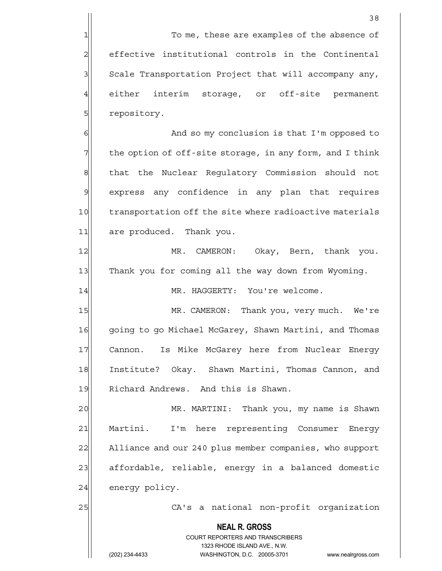1 To me, these are examples of the absence of 2 effective institutional controls in the Continental 3 Scale Transportation Project that will accompany any, 4 either interim storage, or off-site permanent 5 **5** repository.

6 6 And so my conclusion is that I'm opposed to  $7$  the option of off-site storage, in any form, and I think 8 8 that the Nuclear Regulatory Commission should not 9 express any confidence in any plan that requires 10 transportation off the site where radioactive materials 11 are produced. Thank you.

12 MR. CAMERON: Okay, Bern, thank you. 13 Thank you for coming all the way down from Wyoming.

14 MR. HAGGERTY: You're welcome.

15 MR. CAMERON: Thank you, very much. We're 16 going to go Michael McGarey, Shawn Martini, and Thomas 17 Cannon. Is Mike McGarey here from Nuclear Energy 18 Institute? Okay. Shawn Martini, Thomas Cannon, and 19 Richard Andrews. And this is Shawn.

20 | MR. MARTINI: Thank you, my name is Shawn 21 Martini. I'm here representing Consumer Energy 22 Alliance and our 240 plus member companies, who support 23 affordable, reliable, energy in a balanced domestic 24 energy policy.

25 | CA's a national non-profit organization

 **NEAL R. GROSS**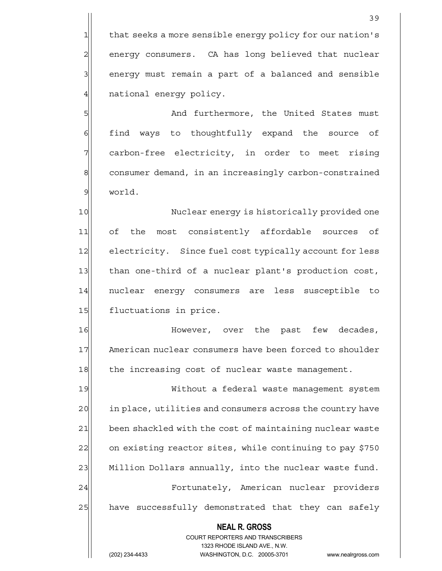$1$  that seeks a more sensible energy policy for our nation's 2 energy consumers. CA has long believed that nuclear 3 3 energy must remain a part of a balanced and sensible 4 | national energy policy.

5 S  $6$  find ways to thoughtfully expand the source of 7 carbon-free electricity, in order to meet rising 8 consumer demand, in an increasingly carbon-constrained 9 world.

10 Nuclear energy is historically provided one 11| of the most consistently affordable sources of 12 electricity. Since fuel cost typically account for less 13 than one-third of a nuclear plant's production cost, 14 | nuclear energy consumers are less susceptible to 15 fluctuations in price.

16 **However,** over the past few decades, 17 American nuclear consumers have been forced to shoulder 18 the increasing cost of nuclear waste management.

19 Without a federal waste management system 20 in place, utilities and consumers across the country have 21 been shackled with the cost of maintaining nuclear waste 22 on existing reactor sites, while continuing to pay \$750 23 Million Dollars annually, into the nuclear waste fund. 24 | Fortunately, American nuclear providers 25 have successfully demonstrated that they can safely

> **NEAL R. GROSS** COURT REPORTERS AND TRANSCRIBERS 1323 RHODE ISLAND AVE., N.W.

(202) 234-4433 WASHINGTON, D.C. 20005-3701 www.nealrgross.com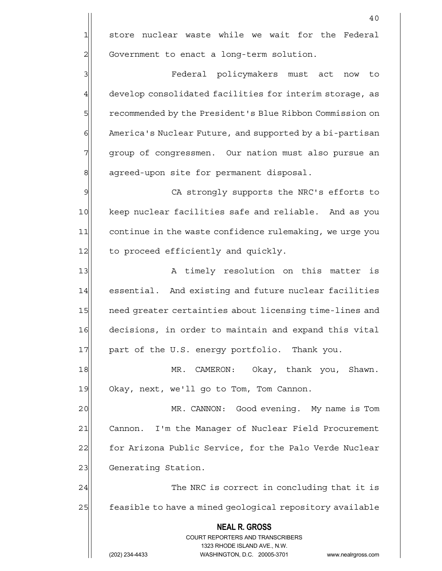$1$  store nuclear waste while we wait for the Federal 2 Government to enact a long-term solution.

3 Federal policymakers must act now to 4 develop consolidated facilities for interim storage, as 5 5 5 Ferenmended by the President's Blue Ribbon Commission on 6 America's Nuclear Future, and supported by a bi-partisan 7 group of congressmen. Our nation must also pursue an 8 agreed-upon site for permanent disposal.

9| CA strongly supports the NRC's efforts to 10 keep nuclear facilities safe and reliable. And as you 11 continue in the waste confidence rulemaking, we urge you 12 to proceed efficiently and quickly.

13 A timely resolution on this matter is 14 essential. And existing and future nuclear facilities 15 | need greater certainties about licensing time-lines and 16 decisions, in order to maintain and expand this vital 17 | part of the U.S. energy portfolio. Thank you.

18 MR. CAMERON: Okay, thank you, Shawn. 19 Okay, next, we'll go to Tom, Tom Cannon.

20 | MR. CANNON: Good evening. My name is Tom 21 Cannon. I'm the Manager of Nuclear Field Procurement 22 for Arizona Public Service, for the Palo Verde Nuclear 23 Generating Station.

24 The NRC is correct in concluding that it is 25 feasible to have a mined geological repository available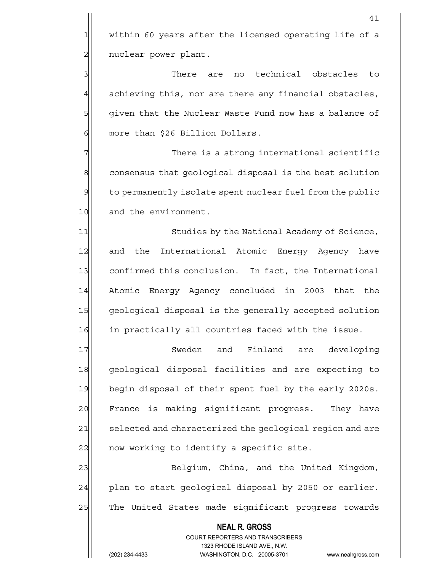$1$  within 60 years after the licensed operating life of a 2 | nuclear power plant.

41

3 3 3 There are no technical obstacles to  $4$  achieving this, nor are there any financial obstacles, 5 5 5 5 5 given that the Nuclear Waste Fund now has a balance of 6 | more than \$26 Billion Dollars.

 $7$  There is a strong international scientific 8 consensus that geological disposal is the best solution  $9$  to permanently isolate spent nuclear fuel from the public 10 and the environment.

11 Studies by the National Academy of Science, 12 and the International Atomic Energy Agency have 13 confirmed this conclusion. In fact, the International 14 Atomic Energy Agency concluded in 2003 that the 15 geological disposal is the generally accepted solution 16 in practically all countries faced with the issue.

17 Sweden and Finland are developing 18 geological disposal facilities and are expecting to 19 begin disposal of their spent fuel by the early 2020s. 20 France is making significant progress. They have 21 selected and characterized the geological region and are  $22$  now working to identify a specific site.

23 Belgium, China, and the United Kingdom,  $24$  plan to start geological disposal by 2050 or earlier. 25 The United States made significant progress towards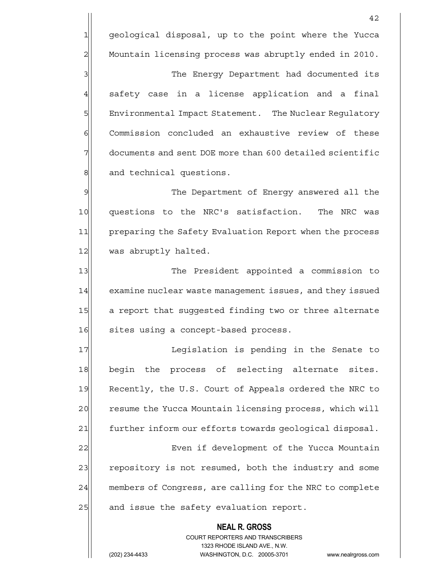1 geological disposal, up to the point where the Yucca 2 Mountain licensing process was abruptly ended in 2010.

3 3 3 The Energy Department had documented its  $4$  safety case in a license application and a final 5 | Environmental Impact Statement. The Nuclear Regulatory 6 Commission concluded an exhaustive review of these 7 documents and sent DOE more than 600 detailed scientific 8 and technical questions.

9 9 The Department of Energy answered all the 10 questions to the NRC's satisfaction. The NRC was 11 preparing the Safety Evaluation Report when the process 12 was abruptly halted.

13 The President appointed a commission to 14 examine nuclear waste management issues, and they issued 15 a report that suggested finding two or three alternate 16 sites using a concept-based process.

17 17 Legislation is pending in the Senate to 18 begin the process of selecting alternate sites. 19 Recently, the U.S. Court of Appeals ordered the NRC to 20 resume the Yucca Mountain licensing process, which will 21 further inform our efforts towards geological disposal.

22 Even if development of the Yucca Mountain 23 repository is not resumed, both the industry and some 24 members of Congress, are calling for the NRC to complete 25 and issue the safety evaluation report.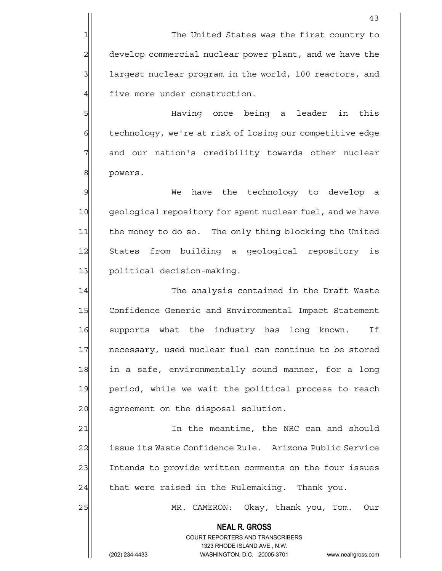1 The United States was the first country to 2 develop commercial nuclear power plant, and we have the 3 1 1 largest nuclear program in the world, 100 reactors, and 4 five more under construction.

5 Having once being a leader in this 6 technology, we're at risk of losing our competitive edge 7 and our nation's credibility towards other nuclear 8 powers.

9 Me have the technology to develop a 10 geological repository for spent nuclear fuel, and we have 11 the money to do so. The only thing blocking the United 12 States from building a geological repository is 13 political decision-making.

14 The analysis contained in the Draft Waste 15 Confidence Generic and Environmental Impact Statement 16 supports what the industry has long known. If 17 necessary, used nuclear fuel can continue to be stored 18 in a safe, environmentally sound manner, for a long 19 period, while we wait the political process to reach 20 agreement on the disposal solution.

21 In the meantime, the NRC can and should 22 | issue its Waste Confidence Rule. Arizona Public Service 23 Intends to provide written comments on the four issues  $24$  that were raised in the Rulemaking. Thank you.

 **NEAL R. GROSS**

25 MR. CAMERON: Okay, thank you, Tom. Our

#### COURT REPORTERS AND TRANSCRIBERS 1323 RHODE ISLAND AVE., N.W.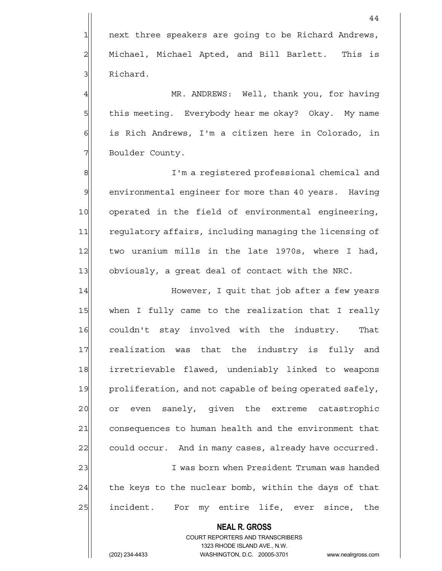1 next three speakers are going to be Richard Andrews, 2 | Michael, Michael Apted, and Bill Barlett. This is 3 Richard.

4 MR. ANDREWS: Well, thank you, for having 5 this meeting. Everybody hear me okay? Okay. My name 6 is Rich Andrews, I'm a citizen here in Colorado, in 7 Boulder County.

8 8 I'm a registered professional chemical and 9 environmental engineer for more than 40 years. Having 10 operated in the field of environmental engineering, 11 regulatory affairs, including managing the licensing of 12 two uranium mills in the late 1970s, where I had, 13 obviously, a great deal of contact with the NRC.

14 However, I quit that job after a few years 15 | when I fully came to the realization that I really 16 couldn't stay involved with the industry. That 17 realization was that the industry is fully and 18 irretrievable flawed, undeniably linked to weapons 19 proliferation, and not capable of being operated safely, 20 or even sanely, given the extreme catastrophic 21 consequences to human health and the environment that 22 could occur. And in many cases, already have occurred. 23 I was born when President Truman was handed  $24$  the keys to the nuclear bomb, within the days of that 25 incident. For my entire life, ever since, the

> **NEAL R. GROSS** COURT REPORTERS AND TRANSCRIBERS 1323 RHODE ISLAND AVE., N.W.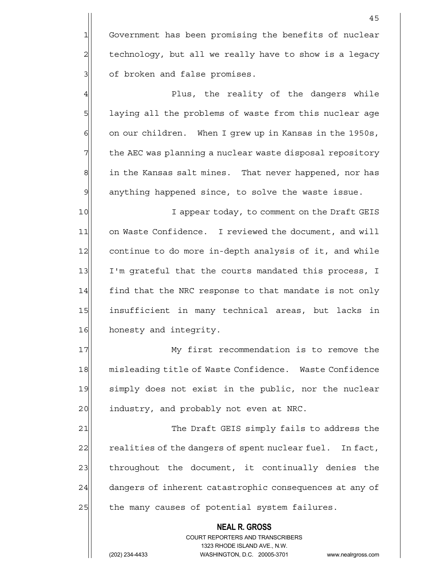1 Government has been promising the benefits of nuclear 2 technology, but all we really have to show is a legacy 3 of broken and false promises.

4 All entireptive plus, the reality of the dangers while 5 | laying all the problems of waste from this nuclear age 6 on our children. When I grew up in Kansas in the 1950s, 7 The AEC was planning a nuclear waste disposal repository 8 | in the Kansas salt mines. That never happened, nor has 9 anything happened since, to solve the waste issue.

10 I appear today, to comment on the Draft GEIS 11 on Waste Confidence. I reviewed the document, and will 12 continue to do more in-depth analysis of it, and while 13 I'm grateful that the courts mandated this process, I 14 find that the NRC response to that mandate is not only 15 insufficient in many technical areas, but lacks in 16 honesty and integrity.

17 My first recommendation is to remove the 18 misleading title of Waste Confidence. Waste Confidence 19 simply does not exist in the public, nor the nuclear 20 industry, and probably not even at NRC.

21 The Draft GEIS simply fails to address the 22 realities of the dangers of spent nuclear fuel. In fact, 23 throughout the document, it continually denies the 24 dangers of inherent catastrophic consequences at any of 25 | the many causes of potential system failures.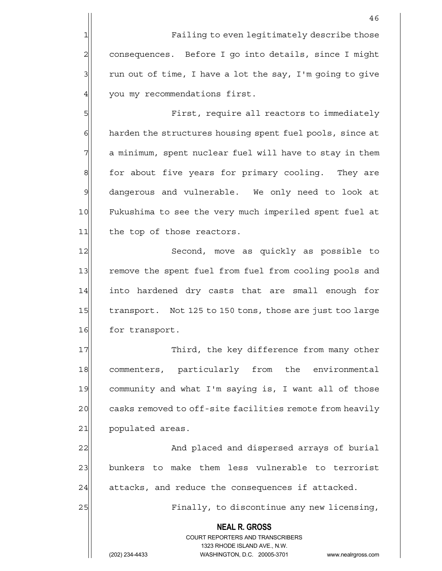1 Failing to even legitimately describe those 2 consequences. Before I go into details, since I might  $3$  run out of time, I have a lot the say, I'm going to give 4 you my recommendations first.

5 First, require all reactors to immediately 6 harden the structures housing spent fuel pools, since at  $7$  a minimum, spent nuclear fuel will have to stay in them 8 6 8 for about five years for primary cooling. They are 9 dangerous and vulnerable. We only need to look at 10 Fukushima to see the very much imperiled spent fuel at 11 the top of those reactors.

12 Second, move as quickly as possible to 13 remove the spent fuel from fuel from cooling pools and 14 into hardened dry casts that are small enough for 15 transport. Not 125 to 150 tons, those are just too large 16 for transport.

17 Third, the key difference from many other 18 commenters, particularly from the environmental 19 community and what I'm saying is, I want all of those 20 casks removed to off-site facilities remote from heavily 21 populated areas.

22 And placed and dispersed arrays of burial 23 bunkers to make them less vulnerable to terrorist  $24$  attacks, and reduce the consequences if attacked.

25 | Finally, to discontinue any new licensing,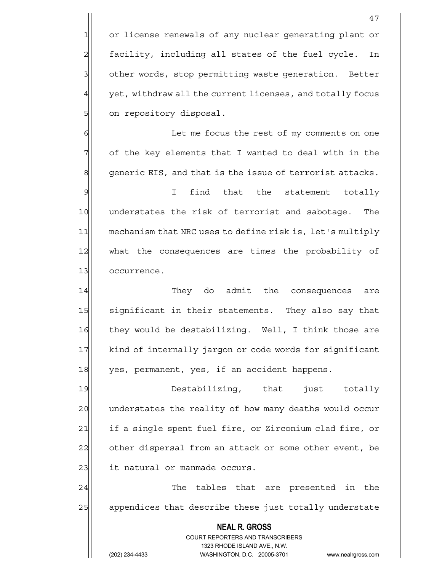1 or license renewals of any nuclear generating plant or 2 facility, including all states of the fuel cycle. In 3 3 other words, stop permitting waste generation. Better  $4$  yet, withdraw all the current licenses, and totally focus 5 on repository disposal.

6 6 G  $7$  of the key elements that I wanted to deal with in the  $8$  generic EIS, and that is the issue of terrorist attacks.

9 I find that the statement totally 10 understates the risk of terrorist and sabotage. The 11| mechanism that NRC uses to define risk is, let's multiply 12 what the consequences are times the probability of 13 occurrence.

14 They do admit the consequences are 15 significant in their statements. They also say that 16 they would be destabilizing. Well, I think those are 17 kind of internally jargon or code words for significant 18 yes, permanent, yes, if an accident happens.

19 Destabilizing, that just totally 20 understates the reality of how many deaths would occur 21 if a single spent fuel fire, or Zirconium clad fire, or 22 other dispersal from an attack or some other event, be 23 | it natural or manmade occurs.

24 The tables that are presented in the 25 appendices that describe these just totally understate

> **NEAL R. GROSS** COURT REPORTERS AND TRANSCRIBERS 1323 RHODE ISLAND AVE., N.W.

(202) 234-4433 WASHINGTON, D.C. 20005-3701 www.nealrgross.com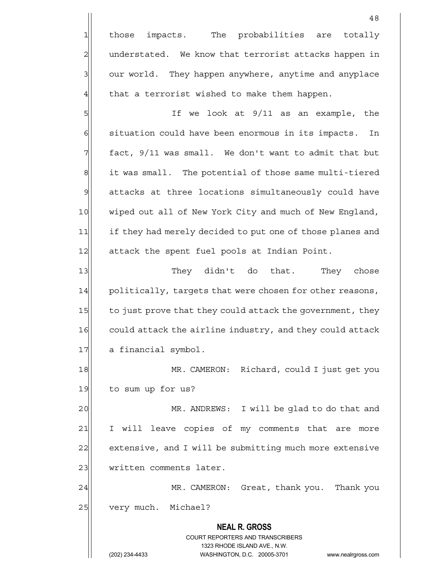1 those impacts. The probabilities are totally 2 | understated. We know that terrorist attacks happen in 3 3 our world. They happen anywhere, anytime and anyplace  $4$  that a terrorist wished to make them happen.

5| If we look at 9/11 as an example, the  $6$  situation could have been enormous in its impacts. In  $7$  fact, 9/11 was small. We don't want to admit that but 8 it was small. The potential of those same multi-tiered 9 attacks at three locations simultaneously could have 10 wiped out all of New York City and much of New England, 11 if they had merely decided to put one of those planes and 12 attack the spent fuel pools at Indian Point.

13 They didn't do that. They chose 14 politically, targets that were chosen for other reasons, 15 to just prove that they could attack the government, they 16 could attack the airline industry, and they could attack 17 a financial symbol.

18 MR. CAMERON: Richard, could I just get you 19 to sum up for us?

20 MR. ANDREWS: I will be glad to do that and 21 I will leave copies of my comments that are more 22 extensive, and I will be submitting much more extensive 23 | written comments later.

24 MR. CAMERON: Great, thank you. Thank you 25 very much. Michael?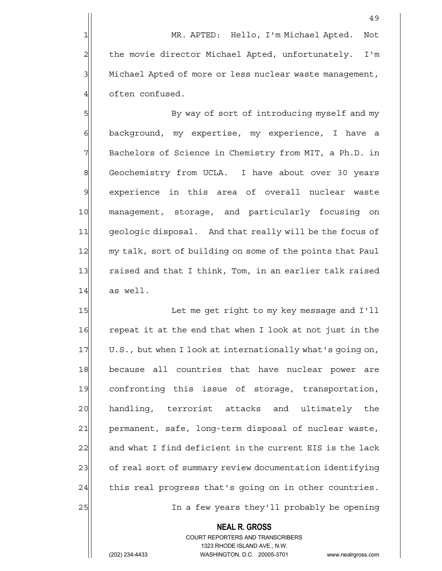49

5 By way of sort of introducing myself and my 6 6 background, my expertise, my experience, I have a 7 Bachelors of Science in Chemistry from MIT, a Ph.D. in 8 Geochemistry from UCLA. I have about over 30 years 9 experience in this area of overall nuclear waste 10 management, storage, and particularly focusing on 11 geologic disposal. And that really will be the focus of 12 my talk, sort of building on some of the points that Paul 13 raised and that I think, Tom, in an earlier talk raised  $14$  as well.

15 Let me get right to my key message and I'll 16 repeat it at the end that when I look at not just in the 17 U.S., but when I look at internationally what's going on, 18 because all countries that have nuclear power are 19 confronting this issue of storage, transportation, 20 handling, terrorist attacks and ultimately the 21 permanent, safe, long-term disposal of nuclear waste,  $22$  and what I find deficient in the current EIS is the lack 23 of real sort of summary review documentation identifying  $24$  this real progress that's going on in other countries. 25 | In a few years they'll probably be opening

### **NEAL R. GROSS** COURT REPORTERS AND TRANSCRIBERS 1323 RHODE ISLAND AVE., N.W.

(202) 234-4433 WASHINGTON, D.C. 20005-3701 www.nealrgross.com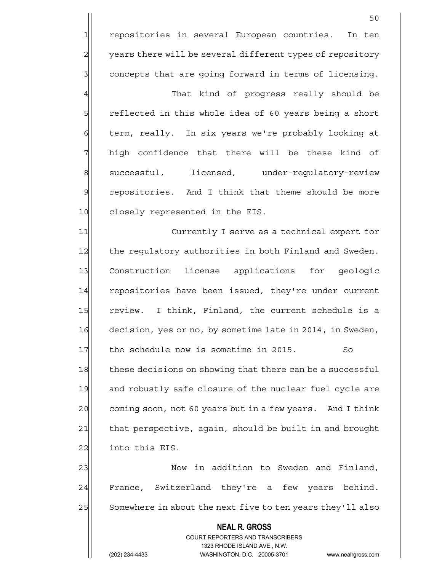50 1 repositories in several European countries. In ten 2 years there will be several different types of repository 3| concepts that are going forward in terms of licensing. 4 and that kind of progress really should be 5 reflected in this whole idea of 60 years being a short 6 term, really. In six years we're probably looking at  $7$  high confidence that there will be these kind of 8 successful, licensed, under-regulatory-review 9 repositories. And I think that theme should be more 10 closely represented in the EIS. 11 Currently I serve as a technical expert for 12 the regulatory authorities in both Finland and Sweden. 13 Construction license applications for geologic 14 repositories have been issued, they're under current 15 review. I think, Finland, the current schedule is a 16 decision, yes or no, by sometime late in 2014, in Sweden, 17 the schedule now is sometime in 2015. 18 these decisions on showing that there can be a successful 19 and robustly safe closure of the nuclear fuel cycle are 20 coming soon, not 60 years but in a few years. And I think 21 that perspective, again, should be built in and brought

23 | Now in addition to Sweden and Finland, 24 France, Switzerland they're a few years behind. 25 Somewhere in about the next five to ten years they'll also

# **NEAL R. GROSS** COURT REPORTERS AND TRANSCRIBERS 1323 RHODE ISLAND AVE., N.W. (202) 234-4433 WASHINGTON, D.C. 20005-3701 www.nealrgross.com

22 into this EIS.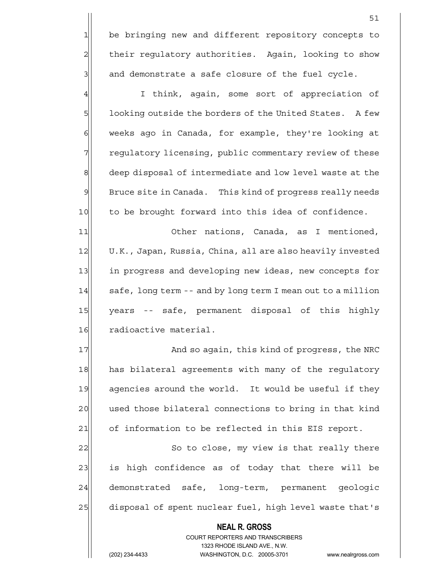1 be bringing new and different repository concepts to 2 | their regulatory authorities. Again, looking to show  $3$  and demonstrate a safe closure of the fuel cycle.

4 I think, again, some sort of appreciation of 5 5 100 100 looking outside the borders of the United States. A few  $6$  weeks ago in Canada, for example, they're looking at 7 The regulatory licensing, public commentary review of these 8 deep disposal of intermediate and low level waste at the  $9$  Bruce site in Canada. This kind of progress really needs 10 to be brought forward into this idea of confidence.

11 Other nations, Canada, as I mentioned, 12 U.K., Japan, Russia, China, all are also heavily invested 13 in progress and developing new ideas, new concepts for  $14$  safe, long term -- and by long term I mean out to a million 15 years -- safe, permanent disposal of this highly 16 radioactive material.

17 and so again, this kind of progress, the NRC 18 has bilateral agreements with many of the regulatory 19 agencies around the world. It would be useful if they 20 used those bilateral connections to bring in that kind 21 of information to be reflected in this EIS report.

22 So to close, my view is that really there 23 is high confidence as of today that there will be 24 demonstrated safe, long-term, permanent geologic 25 disposal of spent nuclear fuel, high level waste that's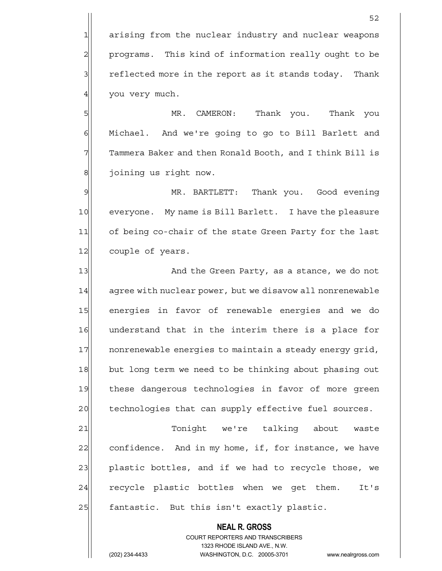1 arising from the nuclear industry and nuclear weapons 2 programs. This kind of information really ought to be  $3$  reflected more in the report as it stands today. Thank 4 you very much.

5 MR. CAMERON: Thank you. Thank you 6 | Michael. And we're going to go to Bill Barlett and  $7$  Tammera Baker and then Ronald Booth, and I think Bill is 8 | joining us right now.

9 MR. BARTLETT: Thank you. Good evening 10 everyone. My name is Bill Barlett. I have the pleasure 11 of being co-chair of the state Green Party for the last 12 couple of years.

13 And the Green Party, as a stance, we do not 14 agree with nuclear power, but we disavow all nonrenewable 15 energies in favor of renewable energies and we do 16 understand that in the interim there is a place for 17 nonrenewable energies to maintain a steady energy grid, 18 but long term we need to be thinking about phasing out 19 these dangerous technologies in favor of more green 20 technologies that can supply effective fuel sources.

21 Tonight we're talking about waste 22 confidence. And in my home, if, for instance, we have 23 plastic bottles, and if we had to recycle those, we 24 recycle plastic bottles when we get them. It's  $25$  fantastic. But this isn't exactly plastic.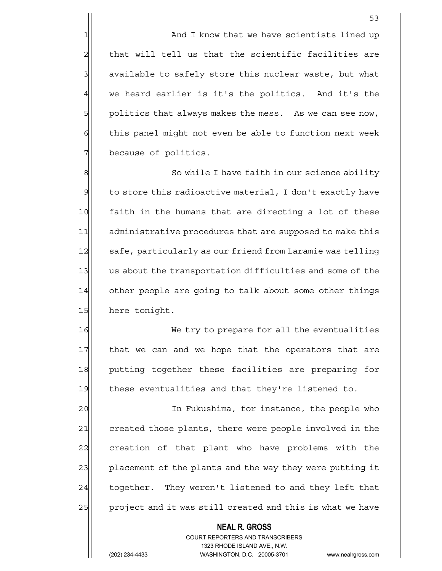1 1 And I know that we have scientists lined up  $2$  that will tell us that the scientific facilities are 3 3 3 available to safely store this nuclear waste, but what  $4$  we heard earlier is it's the politics. And it's the 5 politics that always makes the mess. As we can see now, 6 6 6 this panel might not even be able to function next week 7 because of politics.

8 8 So while I have faith in our science ability  $9$  to store this radioactive material, I don't exactly have 10 faith in the humans that are directing a lot of these 11 administrative procedures that are supposed to make this 12 safe, particularly as our friend from Laramie was telling 13 us about the transportation difficulties and some of the 14 other people are going to talk about some other things 15 here tonight.

16 We try to prepare for all the eventualities 17 that we can and we hope that the operators that are 18 putting together these facilities are preparing for 19 these eventualities and that they're listened to.

20 and In Fukushima, for instance, the people who 21 created those plants, there were people involved in the 22 creation of that plant who have problems with the 23 placement of the plants and the way they were putting it 24 together. They weren't listened to and they left that 25 project and it was still created and this is what we have

### **NEAL R. GROSS** COURT REPORTERS AND TRANSCRIBERS 1323 RHODE ISLAND AVE., N.W.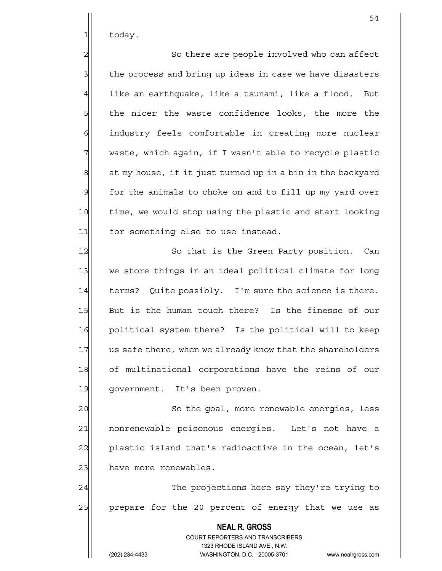$1$  today.

2 So there are people involved who can affect  $3$  the process and bring up ideas in case we have disasters  $4$  like an earthquake, like a tsunami, like a flood. But 5 5 5 5 the nicer the waste confidence looks, the more the 6 industry feels comfortable in creating more nuclear  $7$  waste, which again, if I wasn't able to recycle plastic  $8$  at my house, if it just turned up in a bin in the backyard 9 | for the animals to choke on and to fill up my yard over 10 time, we would stop using the plastic and start looking 11 for something else to use instead.

12 So that is the Green Party position. Can 13 we store things in an ideal political climate for long 14 terms? Ouite possibly. I'm sure the science is there. 15 But is the human touch there? Is the finesse of our 16 political system there? Is the political will to keep 17 us safe there, when we already know that the shareholders 18 of multinational corporations have the reins of our 19 government. It's been proven.

20 So the goal, more renewable energies, less 21 | nonrenewable poisonous energies. Let's not have a  $22$  plastic island that's radioactive in the ocean, let's 23 have more renewables.

24 The projections here say they're trying to 25 prepare for the 20 percent of energy that we use as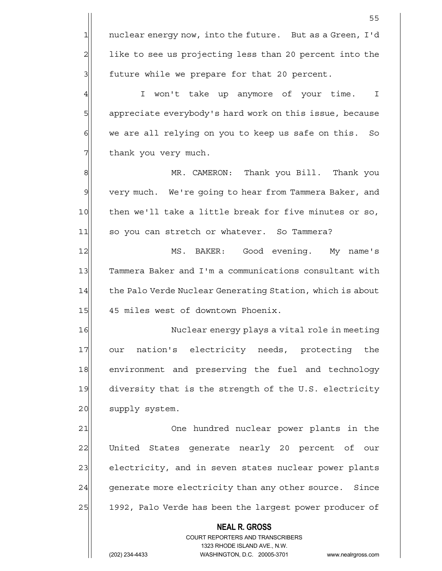the contract of the contract of the contract of the contract of the contract of the contract of the contract o

4 | I won't take up anymore of your time. I 5 appreciate everybody's hard work on this issue, because 6 we are all relying on you to keep us safe on this. So 7 Thank you very much.

8 MR. CAMERON: Thank you Bill. Thank you 9 very much. We're going to hear from Tammera Baker, and 10 then we'll take a little break for five minutes or so, 11 so you can stretch or whatever. So Tammera?

12 MS. BAKER: Good evening. My name's 13 Tammera Baker and I'm a communications consultant with 14 the Palo Verde Nuclear Generating Station, which is about 15 45 miles west of downtown Phoenix.

16 Nuclear energy plays a vital role in meeting 17 our nation's electricity needs, protecting the 18 environment and preserving the fuel and technology 19 diversity that is the strength of the U.S. electricity 20 supply system.

21 One hundred nuclear power plants in the 22 United States generate nearly 20 percent of our 23 electricity, and in seven states nuclear power plants 24 generate more electricity than any other source. Since 25 1992, Palo Verde has been the largest power producer of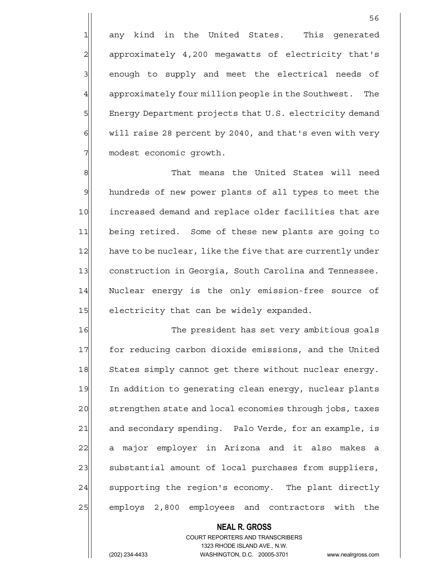1 any kind in the United States. This generated 2 approximately 4,200 megawatts of electricity that's 3 3 enough to supply and meet the electrical needs of 4 approximately four million people in the Southwest. The 5 | Energy Department projects that U.S. electricity demand  $6$  will raise 28 percent by 2040, and that's even with very 7 modest economic growth.

8 8 Report Muslem That means the United States will need 9 hundreds of new power plants of all types to meet the 10 increased demand and replace older facilities that are 11 being retired. Some of these new plants are going to 12 have to be nuclear, like the five that are currently under 13 construction in Georgia, South Carolina and Tennessee. 14 Nuclear energy is the only emission-free source of 15 electricity that can be widely expanded.

16 The president has set very ambitious goals 17 for reducing carbon dioxide emissions, and the United 18 States simply cannot get there without nuclear energy. 19 In addition to generating clean energy, nuclear plants 20 strengthen state and local economies through jobs, taxes 21 and secondary spending. Palo Verde, for an example, is 22 a major employer in Arizona and it also makes a 23 substantial amount of local purchases from suppliers, 24 supporting the region's economy. The plant directly 25 employs 2,800 employees and contractors with the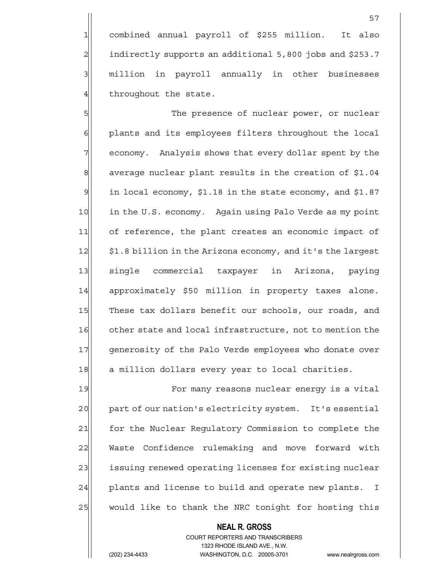1 combined annual payroll of \$255 million. It also 2 indirectly supports an additional 5,800 jobs and \$253.7 3 million in payroll annually in other businesses  $4$  throughout the state.

5 S 6 6 plants and its employees filters throughout the local 7 | economy. Analysis shows that every dollar spent by the 8 average nuclear plant results in the creation of \$1.04  $9$  in local economy, \$1.18 in the state economy, and \$1.87 10 in the U.S. economy. Again using Palo Verde as my point 11 of reference, the plant creates an economic impact of 12  $\vert$  \$1.8 billion in the Arizona economy, and it's the largest 13 single commercial taxpayer in Arizona, paying 14 approximately \$50 million in property taxes alone. 15 These tax dollars benefit our schools, our roads, and 16 other state and local infrastructure, not to mention the 17 generosity of the Palo Verde employees who donate over 18 a million dollars every year to local charities.

19 For many reasons nuclear energy is a vital 20 part of our nation's electricity system. It's essential 21 | for the Nuclear Regulatory Commission to complete the 22 Waste Confidence rulemaking and move forward with 23 issuing renewed operating licenses for existing nuclear 24 plants and license to build and operate new plants. I 25 would like to thank the NRC tonight for hosting this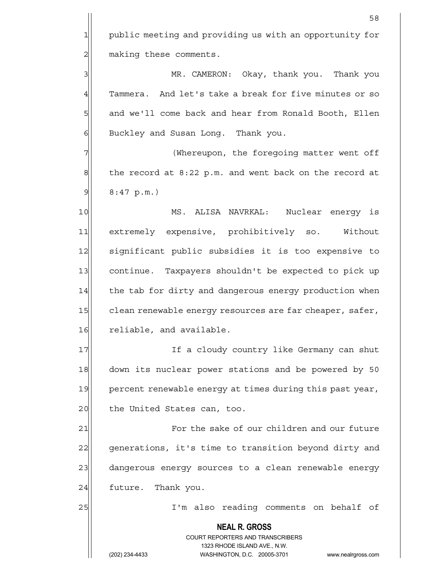1 public meeting and providing us with an opportunity for 2 making these comments.

3 MR. CAMERON: Okay, thank you. Thank you 4 Tammera. And let's take a break for five minutes or so 5 and we'll come back and hear from Ronald Booth, Ellen 6 Buckley and Susan Long. Thank you.

7 (Whereupon, the foregoing matter went off  $8$  the record at 8:22 p.m. and went back on the record at  $9$  8:47 p.m.)

10 MS. ALISA NAVRKAL: Nuclear energy is 11 extremely expensive, prohibitively so. Without 12 significant public subsidies it is too expensive to 13 continue. Taxpayers shouldn't be expected to pick up 14 the tab for dirty and dangerous energy production when 15 clean renewable energy resources are far cheaper, safer, 16 reliable, and available.

17 If a cloudy country like Germany can shut 18 down its nuclear power stations and be powered by 50 19 percent renewable energy at times during this past year, 20 the United States can, too.

21 **For the sake of our children and our future** 22 generations, it's time to transition beyond dirty and 23 dangerous energy sources to a clean renewable energy 24 future. Thank you.

25 | I'm also reading comments on behalf of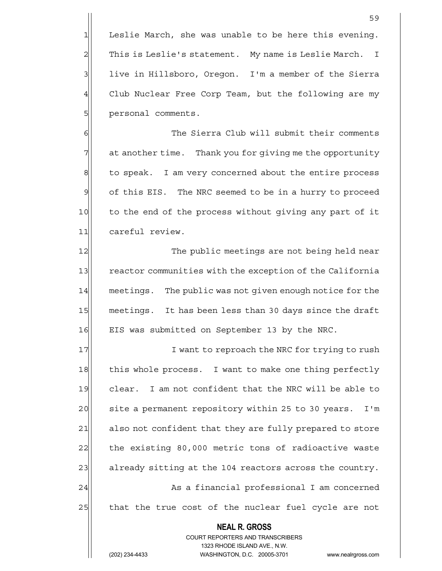$1$  Leslie March, she was unable to be here this evening. 2 This is Leslie's statement. My name is Leslie March. I 3 live in Hillsboro, Oregon. I'm a member of the Sierra 4 Club Nuclear Free Corp Team, but the following are my 5| personal comments.

6 6 The Sierra Club will submit their comments 7 at another time. Thank you for giving me the opportunity 8 to speak. I am very concerned about the entire process 9 of this EIS. The NRC seemed to be in a hurry to proceed 10 to the end of the process without giving any part of it 11 careful review.

12 The public meetings are not being held near 13 reactor communities with the exception of the California 14 meetings. The public was not given enough notice for the 15 meetings. It has been less than 30 days since the draft 16 EIS was submitted on September 13 by the NRC.

17 I want to reproach the NRC for trying to rush 18 this whole process. I want to make one thing perfectly 19 clear. I am not confident that the NRC will be able to 20 site a permanent repository within 25 to 30 years. I'm 21 also not confident that they are fully prepared to store 22 the existing 80,000 metric tons of radioactive waste 23 already sitting at the 104 reactors across the country. 24 As a financial professional I am concerned 25 that the true cost of the nuclear fuel cycle are not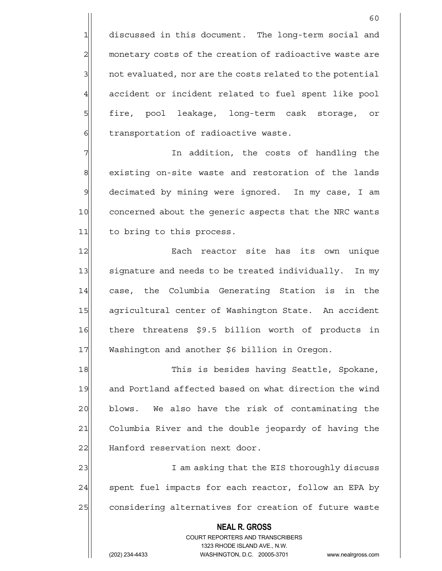1 discussed in this document. The long-term social and 2 monetary costs of the creation of radioactive waste are 3 1 and evaluated, nor are the costs related to the potential 4 accident or incident related to fuel spent like pool 5 fire, pool leakage, long-term cask storage, or 6 6 fransportation of radioactive waste.

7 Th addition, the costs of handling the  $\sigma$ 8 existing on-site waste and restoration of the lands 9 decimated by mining were ignored. In my case, I am 10 concerned about the generic aspects that the NRC wants 11 to bring to this process.

12 Rach reactor site has its own unique 13 signature and needs to be treated individually. In my 14 case, the Columbia Generating Station is in the 15 agricultural center of Washington State. An accident 16 there threatens \$9.5 billion worth of products in 17 Washington and another \$6 billion in Oregon.

18 This is besides having Seattle, Spokane, 19 and Portland affected based on what direction the wind 20 blows. We also have the risk of contaminating the 21 Columbia River and the double jeopardy of having the 22 Hanford reservation next door.

23 am asking that the EIS thoroughly discuss in the EIS thoroughly  $24$  spent fuel impacts for each reactor, follow an EPA by 25 considering alternatives for creation of future waste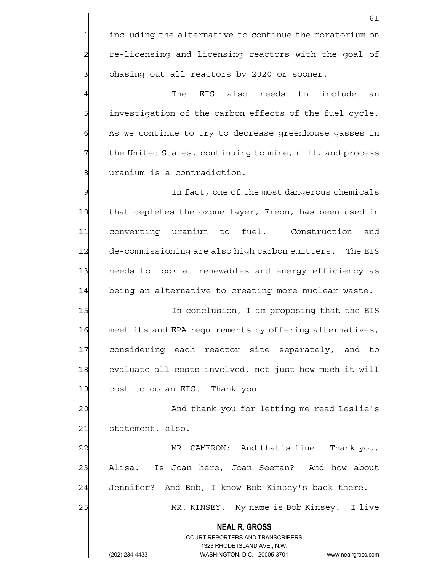1 including the alternative to continue the moratorium on 2 re-licensing and licensing reactors with the goal of 3 | phasing out all reactors by 2020 or sooner.

 $4$  The EIS also needs to include an 5 | investigation of the carbon effects of the fuel cycle.  $6$  As we continue to try to decrease greenhouse gasses in 7 The United States, continuing to mine, mill, and process 8 | salvanium is a contradiction.

9 9 In fact, one of the most dangerous chemicals 10 that depletes the ozone layer, Freon, has been used in 11 converting uranium to fuel. Construction and 12 de-commissioning are also high carbon emitters. The EIS 13 needs to look at renewables and energy efficiency as 14 being an alternative to creating more nuclear waste.

15 In conclusion, I am proposing that the EIS 16 meet its and EPA requirements by offering alternatives, 17 considering each reactor site separately, and to 18 evaluate all costs involved, not just how much it will 19 cost to do an EIS. Thank you.

20 and thank you for letting me read Leslie's 21 statement, also.

22 MR. CAMERON: And that's fine. Thank you, 23 Alisa. Is Joan here, Joan Seeman? And how about  $24$  Jennifer? And Bob, I know Bob Kinsey's back there.

25 MR. KINSEY: My name is Bob Kinsey. I live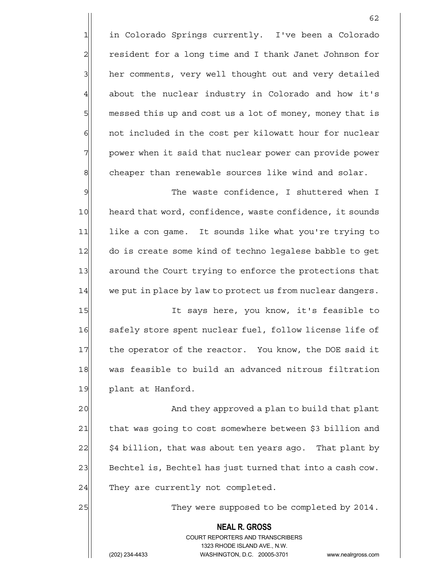1 in Colorado Springs currently. I've been a Colorado 2 resident for a long time and I thank Janet Johnson for 3 her comments, very well thought out and very detailed  $4$  about the nuclear industry in Colorado and how it's 5  $\vert$  messed this up and cost us a lot of money, money that is 6 6 6 6 not included in the cost per kilowatt hour for nuclear 7 | power when it said that nuclear power can provide power  $8$  cheaper than renewable sources like wind and solar.

62

9 9 The waste confidence, I shuttered when I 10 heard that word, confidence, waste confidence, it sounds 11 like a con game. It sounds like what you're trying to 12 do is create some kind of techno legalese babble to get 13 around the Court trying to enforce the protections that 14 we put in place by law to protect us from nuclear dangers.

15 It says here, you know, it's feasible to 16 safely store spent nuclear fuel, follow license life of 17 the operator of the reactor. You know, the DOE said it 18 was feasible to build an advanced nitrous filtration 19 plant at Hanford.

20 and they approved a plan to build that plant 21 that was going to cost somewhere between \$3 billion and  $22$   $\mid$   $\mid$  \$4 billion, that was about ten years ago. That plant by 23 Bechtel is, Bechtel has just turned that into a cash cow.  $24$  They are currently not completed.

25 25 They were supposed to be completed by 2014.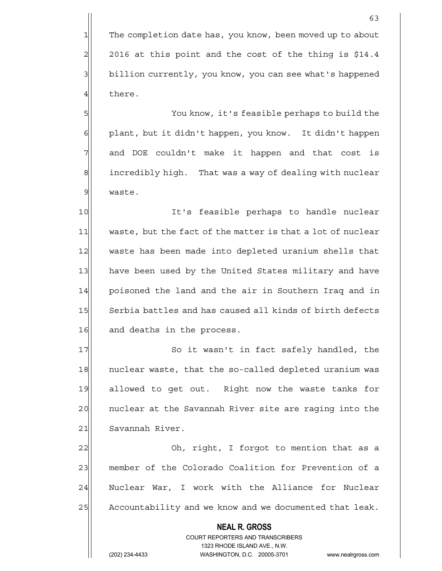1 The completion date has, you know, been moved up to about  $2 \mid 2016$  at this point and the cost of the thing is \$14.4 3 billion currently, you know, you can see what's happened 4 there.

5 You know, it's feasible perhaps to build the 6 plant, but it didn't happen, you know. It didn't happen 7 and DOE couldn't make it happen and that cost is 8 incredibly high. That was a way of dealing with nuclear 9 waste.

10 It's feasible perhaps to handle nuclear 11 waste, but the fact of the matter is that a lot of nuclear 12 waste has been made into depleted uranium shells that 13 have been used by the United States military and have 14 poisoned the land and the air in Southern Iraq and in 15 Serbia battles and has caused all kinds of birth defects 16 and deaths in the process.

17 So it wasn't in fact safely handled, the 18 | nuclear waste, that the so-called depleted uranium was 19 allowed to get out. Right now the waste tanks for 20 | nuclear at the Savannah River site are raging into the 21 Savannah River.

22 Oh, right, I forgot to mention that as a 23 member of the Colorado Coalition for Prevention of a 24 Nuclear War, I work with the Alliance for Nuclear 25 Accountability and we know and we documented that leak.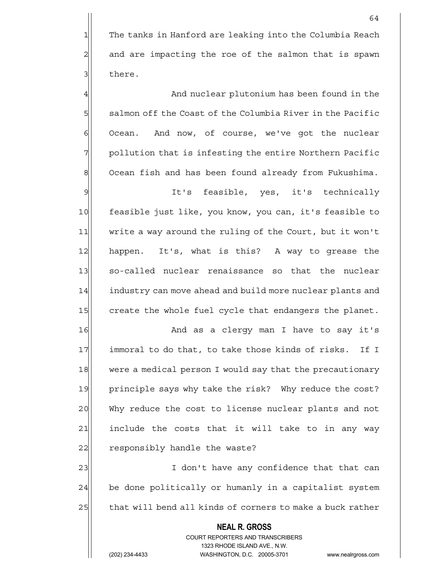4 And nuclear plutonium has been found in the  $5$  salmon off the Coast of the Columbia River in the Pacific 6 Ocean. And now, of course, we've got the nuclear  $7$  pollution that is infesting the entire Northern Pacific 8 Ocean fish and has been found already from Fukushima.

9 It's feasible, yes, it's technically 10 feasible just like, you know, you can, it's feasible to 11 write a way around the ruling of the Court, but it won't 12 happen. It's, what is this? A way to grease the 13 so-called nuclear renaissance so that the nuclear 14 industry can move ahead and build more nuclear plants and 15 create the whole fuel cycle that endangers the planet.

16 and as a clergy man I have to say it's 17 immoral to do that, to take those kinds of risks. If I 18 were a medical person I would say that the precautionary 19 principle says why take the risk? Why reduce the cost? 20 Why reduce the cost to license nuclear plants and not  $21$  include the costs that it will take to in any way 22 responsibly handle the waste?

23 and 1 don't have any confidence that that can  $24$  be done politically or humanly in a capitalist system 25 that will bend all kinds of corners to make a buck rather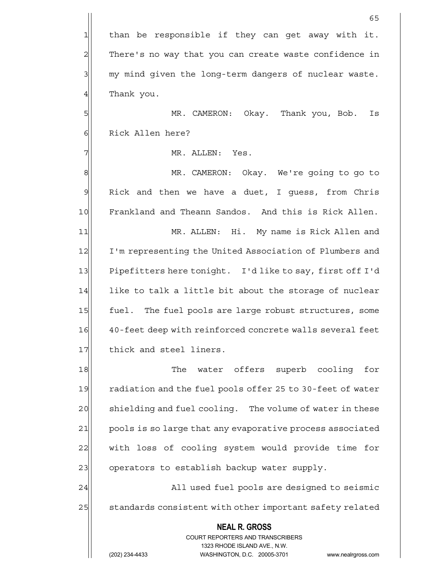$1$  than be responsible if they can get away with it. 2 There's no way that you can create waste confidence in 3 3 my mind given the long-term dangers of nuclear waste. 4 Thank you.

5 MR. CAMERON: Okay. Thank you, Bob. Is 6 Rick Allen here?

7 | MR. ALLEN: Yes.

8 MR. CAMERON: Okay. We're going to go to 9 Rick and then we have a duet, I quess, from Chris 10 Frankland and Theann Sandos. And this is Rick Allen. 11| MR. ALLEN: Hi. My name is Rick Allen and

12 I'm representing the United Association of Plumbers and 13 Pipefitters here tonight. I'd like to say, first off I'd  $14$  like to talk a little bit about the storage of nuclear 15 fuel. The fuel pools are large robust structures, some 16 40-feet deep with reinforced concrete walls several feet 17 thick and steel liners.

18 The water offers superb cooling for 19 radiation and the fuel pools offer 25 to 30-feet of water 20 shielding and fuel cooling. The volume of water in these 21 pools is so large that any evaporative process associated 22 with loss of cooling system would provide time for 23 operators to establish backup water supply.

24 All used fuel pools are designed to seismic 25 standards consistent with other important safety related

# **NEAL R. GROSS**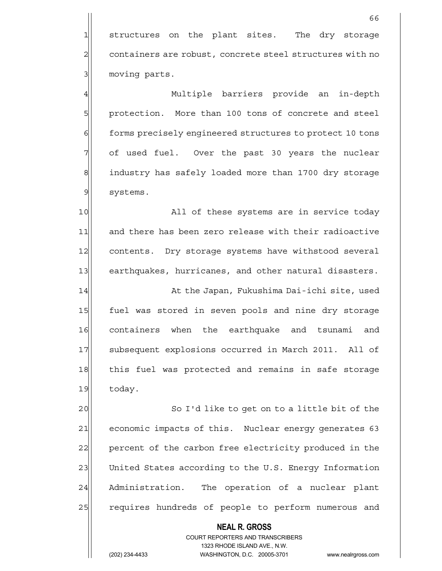1 structures on the plant sites. The dry storage 2 containers are robust, concrete steel structures with no 3 moving parts.

4 Multiple barriers provide an in-depth 5 protection. More than 100 tons of concrete and steel 6 6 forms precisely engineered structures to protect 10 tons  $7$  of used fuel. Over the past 30 years the nuclear 8 8 industry has safely loaded more than 1700 dry storage 9 systems.

10 All of these systems are in service today 11 and there has been zero release with their radioactive 12 contents. Dry storage systems have withstood several 13 earthquakes, hurricanes, and other natural disasters.

14 at the Japan, Fukushima Dai-ichi site, used 15 fuel was stored in seven pools and nine dry storage 16 containers when the earthquake and tsunami and 17 Subsequent explosions occurred in March 2011. All of 18 this fuel was protected and remains in safe storage 19 today.

20 So I'd like to get on to a little bit of the 21 economic impacts of this. Nuclear energy generates 63 22 percent of the carbon free electricity produced in the 23 United States according to the U.S. Energy Information 24 Administration. The operation of a nuclear plant 25 | requires hundreds of people to perform numerous and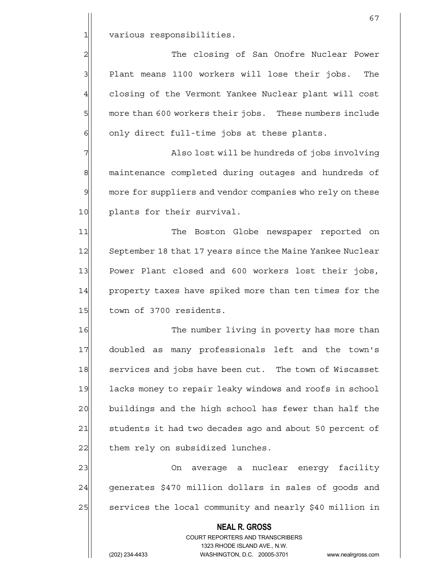1 various responsibilities.

2 2 The closing of San Onofre Nuclear Power  $3$  Plant means 1100 workers will lose their jobs. The 4 closing of the Vermont Yankee Nuclear plant will cost 5 more than 600 workers their jobs. These numbers include  $6$  only direct full-time jobs at these plants.

7 The contract Market Market and Market Market Market Market Market Market Market Market Market Market Market M 8 maintenance completed during outages and hundreds of 9 more for suppliers and vendor companies who rely on these 10 plants for their survival.

11 The Boston Globe newspaper reported on 12 September 18 that 17 years since the Maine Yankee Nuclear 13 Power Plant closed and 600 workers lost their jobs, 14 property taxes have spiked more than ten times for the 15 town of 3700 residents.

16 The number living in poverty has more than 17 doubled as many professionals left and the town's 18 services and jobs have been cut. The town of Wiscasset 19 lacks money to repair leaky windows and roofs in school 20 buildings and the high school has fewer than half the 21 students it had two decades ago and about 50 percent of 22 them rely on subsidized lunches.

23 | Con average a nuclear energy facility 24 generates \$470 million dollars in sales of goods and 25 services the local community and nearly \$40 million in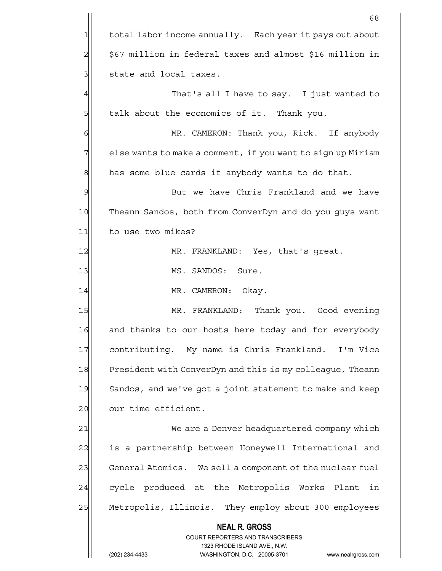|                 | 68                                                                                                  |
|-----------------|-----------------------------------------------------------------------------------------------------|
| 1               | total labor income annually. Each year it pays out about                                            |
| $\overline{c}$  | \$67 million in federal taxes and almost \$16 million in                                            |
| 3               | state and local taxes.                                                                              |
| 4               | That's all I have to say. I just wanted to                                                          |
| 5               | talk about the economics of it. Thank you.                                                          |
| 6               | MR. CAMERON: Thank you, Rick. If anybody                                                            |
| 7               | else wants to make a comment, if you want to sign up Miriam                                         |
| 8               | has some blue cards if anybody wants to do that.                                                    |
| 9               | But we have Chris Frankland and we have                                                             |
| 10              | Theann Sandos, both from ConverDyn and do you guys want                                             |
| 11              | to use two mikes?                                                                                   |
| 12              | MR. FRANKLAND: Yes, that's great.                                                                   |
| 13              | MS. SANDOS: Sure.                                                                                   |
| 14              | MR. CAMERON: Okay.                                                                                  |
| 15              | MR. FRANKLAND: Thank you. Good evening                                                              |
| 16              | and thanks to our hosts here today and for everybody                                                |
| 17              | contributing. My name is Chris Frankland. I'm Vice                                                  |
| 18              | President with ConverDyn and this is my colleague, Theann                                           |
| 19              | Sandos, and we've got a joint statement to make and keep                                            |
| 20              | our time efficient.                                                                                 |
| $\overline{21}$ | We are a Denver headquartered company which                                                         |
| 22              | is a partnership between Honeywell International and                                                |
| 23              | General Atomics. We sell a component of the nuclear fuel                                            |
| 24              | cycle produced at the Metropolis Works Plant<br>in                                                  |
| 25              | Metropolis, Illinois. They employ about 300 employees                                               |
|                 | <b>NEAL R. GROSS</b>                                                                                |
|                 | <b>COURT REPORTERS AND TRANSCRIBERS</b>                                                             |
|                 | 1323 RHODE ISLAND AVE., N.W.<br>(202) 234-4433<br>WASHINGTON, D.C. 20005-3701<br>www.nealrgross.com |
|                 |                                                                                                     |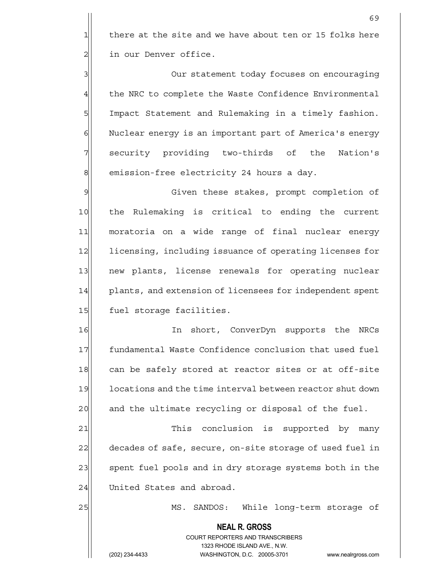$1$  there at the site and we have about ten or 15 folks here 2 | in our Denver office.

3 3 Our statement today focuses on encouraging 4| the NRC to complete the Waste Confidence Environmental 5 | Impact Statement and Rulemaking in a timely fashion. 6 Nuclear energy is an important part of America's energy 7 | security providing two-thirds of the Nation's 8 emission-free electricity 24 hours a day.

9 Given these stakes, prompt completion of 10 | the Rulemaking is critical to ending the current 11 moratoria on a wide range of final nuclear energy 12 licensing, including issuance of operating licenses for 13 new plants, license renewals for operating nuclear 14 plants, and extension of licensees for independent spent 15 fuel storage facilities.

16 In short, ConverDyn supports the NRCs 17 | fundamental Waste Confidence conclusion that used fuel 18 can be safely stored at reactor sites or at off-site 19 locations and the time interval between reactor shut down 20 and the ultimate recycling or disposal of the fuel.

21 This conclusion is supported by many 22 decades of safe, secure, on-site storage of used fuel in 23 spent fuel pools and in dry storage systems both in the 24 United States and abroad.

25 MS. SANDOS: While long-term storage of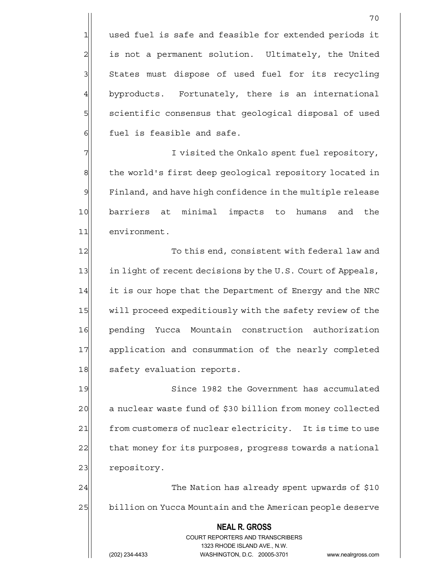1 used fuel is safe and feasible for extended periods it 2| is not a permanent solution. Ultimately, the United 3 | States must dispose of used fuel for its recycling 4 byproducts. Fortunately, there is an international 5 scientific consensus that geological disposal of used  $6$  fuel is feasible and safe.

7 I visited the Onkalo spent fuel repository, 8 the world's first deep geological repository located in 9| Finland, and have high confidence in the multiple release 10 barriers at minimal impacts to humans and the 11 environment.

12 To this end, consistent with federal law and 13 in light of recent decisions by the U.S. Court of Appeals, 14 it is our hope that the Department of Energy and the NRC 15 will proceed expeditiously with the safety review of the 16 pending Yucca Mountain construction authorization 17 application and consummation of the nearly completed 18 safety evaluation reports.

19 Since 1982 the Government has accumulated 20 a nuclear waste fund of \$30 billion from money collected 21 from customers of nuclear electricity. It is time to use 22 that money for its purposes, progress towards a national 23 repository.

24 The Nation has already spent upwards of \$10 25 billion on Yucca Mountain and the American people deserve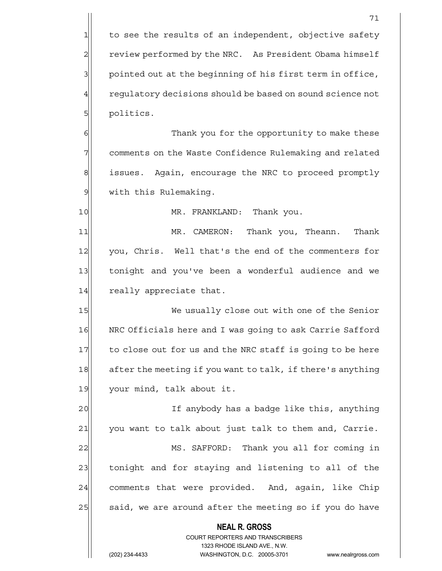$1$  to see the results of an independent, objective safety 2 review performed by the NRC. As President Obama himself  $3$  pointed out at the beginning of his first term in office, 4 requiatory decisions should be based on sound science not 5 | politics.

6 6 Thank you for the opportunity to make these 7 7 comments on the Waste Confidence Rulemaking and related 8 issues. Again, encourage the NRC to proceed promptly 9 | with this Rulemaking.

10 MR. FRANKLAND: Thank you.

11 MR. CAMERON: Thank you, Theann. Thank 12 you, Chris. Well that's the end of the commenters for 13 tonight and you've been a wonderful audience and we 14 really appreciate that.

15 We usually close out with one of the Senior 16 NRC Officials here and I was going to ask Carrie Safford 17 to close out for us and the NRC staff is going to be here 18 after the meeting if you want to talk, if there's anything 19 your mind, talk about it.

20 and 1 If anybody has a badge like this, anything 21 you want to talk about just talk to them and, Carrie. 22 MS. SAFFORD: Thank you all for coming in 23 tonight and for staying and listening to all of the 24 comments that were provided. And, again, like Chip 25 said, we are around after the meeting so if you do have